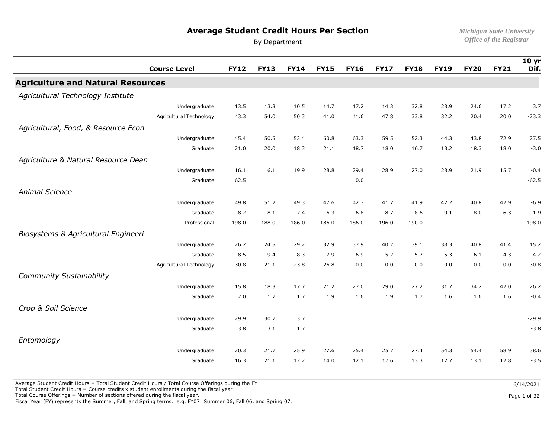# **Average Student Credit Hours Per Section** *Michigan State University*

By Department

|                                          | <b>Course Level</b>     | <b>FY12</b> | <b>FY13</b> | <b>FY14</b> | <b>FY15</b> | <b>FY16</b> | <b>FY17</b> | <b>FY18</b> | <b>FY19</b> | <b>FY20</b> | <b>FY21</b> | 10 <sub>yr</sub><br>Dif. |
|------------------------------------------|-------------------------|-------------|-------------|-------------|-------------|-------------|-------------|-------------|-------------|-------------|-------------|--------------------------|
| <b>Agriculture and Natural Resources</b> |                         |             |             |             |             |             |             |             |             |             |             |                          |
| Agricultural Technology Institute        |                         |             |             |             |             |             |             |             |             |             |             |                          |
|                                          | Undergraduate           | 13.5        | 13.3        | 10.5        | 14.7        | 17.2        | 14.3        | 32.8        | 28.9        | 24.6        | 17.2        | 3.7                      |
|                                          | Agricultural Technology | 43.3        | 54.0        | 50.3        | 41.0        | 41.6        | 47.8        | 33.8        | 32.2        | 20.4        | 20.0        | $-23.3$                  |
| Agricultural, Food, & Resource Econ      |                         |             |             |             |             |             |             |             |             |             |             |                          |
|                                          | Undergraduate           | 45.4        | 50.5        | 53.4        | 60.8        | 63.3        | 59.5        | 52.3        | 44.3        | 43.8        | 72.9        | 27.5                     |
|                                          | Graduate                | 21.0        | 20.0        | 18.3        | 21.1        | 18.7        | 18.0        | 16.7        | 18.2        | 18.3        | 18.0        | $-3.0$                   |
| Agriculture & Natural Resource Dean      |                         |             |             |             |             |             |             |             |             |             |             |                          |
|                                          | Undergraduate           | 16.1        | 16.1        | 19.9        | 28.8        | 29.4        | 28.9        | 27.0        | 28.9        | 21.9        | 15.7        | $-0.4$                   |
|                                          | Graduate                | 62.5        |             |             |             | 0.0         |             |             |             |             |             | $-62.5$                  |
| <b>Animal Science</b>                    |                         |             |             |             |             |             |             |             |             |             |             |                          |
|                                          | Undergraduate           | 49.8        | 51.2        | 49.3        | 47.6        | 42.3        | 41.7        | 41.9        | 42.2        | 40.8        | 42.9        | $-6.9$                   |
|                                          | Graduate                | 8.2         | 8.1         | 7.4         | 6.3         | 6.8         | 8.7         | 8.6         | 9.1         | 8.0         | 6.3         | $-1.9$                   |
|                                          | Professional            | 198.0       | 188.0       | 186.0       | 186.0       | 186.0       | 196.0       | 190.0       |             |             |             | $-198.0$                 |
| Biosystems & Agricultural Engineeri      |                         |             |             |             |             |             |             |             |             |             |             |                          |
|                                          | Undergraduate           | 26.2        | 24.5        | 29.2        | 32.9        | 37.9        | 40.2        | 39.1        | 38.3        | 40.8        | 41.4        | 15.2                     |
|                                          | Graduate                | 8.5         | 9.4         | 8.3         | 7.9         | 6.9         | 5.2         | 5.7         | 5.3         | 6.1         | 4.3         | $-4.2$                   |
|                                          | Agricultural Technology | 30.8        | 21.1        | 23.8        | 26.8        | 0.0         | 0.0         | 0.0         | 0.0         | 0.0         | 0.0         | $-30.8$                  |
| <b>Community Sustainability</b>          |                         |             |             |             |             |             |             |             |             |             |             |                          |
|                                          | Undergraduate           | 15.8        | 18.3        | 17.7        | 21.2        | 27.0        | 29.0        | 27.2        | 31.7        | 34.2        | 42.0        | 26.2                     |
|                                          | Graduate                | 2.0         | 1.7         | 1.7         | 1.9         | 1.6         | 1.9         | 1.7         | 1.6         | 1.6         | 1.6         | $-0.4$                   |
| Crop & Soil Science                      |                         |             |             |             |             |             |             |             |             |             |             |                          |
|                                          | Undergraduate           | 29.9        | 30.7        | 3.7         |             |             |             |             |             |             |             | $-29.9$                  |
|                                          | Graduate                | 3.8         | 3.1         | 1.7         |             |             |             |             |             |             |             | $-3.8$                   |
| Entomology                               |                         |             |             |             |             |             |             |             |             |             |             |                          |
|                                          | Undergraduate           | 20.3        | 21.7        | 25.9        | 27.6        | 25.4        | 25.7        | 27.4        | 54.3        | 54.4        | 58.9        | 38.6                     |
|                                          | Graduate                | 16.3        | 21.1        | 12.2        | 14.0        | 12.1        | 17.6        | 13.3        | 12.7        | 13.1        | 12.8        | $-3.5$                   |

Average Student Credit Hours = Total Student Credit Hours / Total Course Offerings during the FY

Total Student Credit Hours = Course credits x student enrollments during the fiscal year

Total Course Offerings = Number of sections offered during the fiscal year.

Fiscal Year (FY) represents the Summer, Fall, and Spring terms. e.g. FY07=Summer 06, Fall 06, and Spring 07.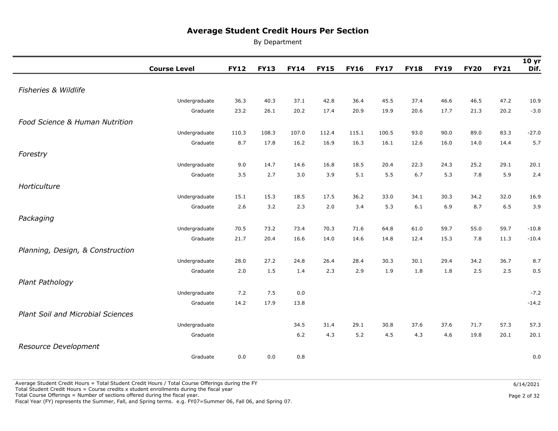By Department

|                                          | <b>Course Level</b> | <b>FY12</b> | <b>FY13</b> | <b>FY14</b> | <b>FY15</b> | <b>FY16</b> | <b>FY17</b> | <b>FY18</b> | <b>FY19</b> | <b>FY20</b> | <b>FY21</b> | 10 <sub>yr</sub><br>Dif. |
|------------------------------------------|---------------------|-------------|-------------|-------------|-------------|-------------|-------------|-------------|-------------|-------------|-------------|--------------------------|
|                                          |                     |             |             |             |             |             |             |             |             |             |             |                          |
| Fisheries & Wildlife                     |                     |             |             |             |             |             |             |             |             |             |             |                          |
|                                          | Undergraduate       | 36.3        | 40.3        | 37.1        | 42.8        | 36.4        | 45.5        | 37.4        | 46.6        | 46.5        | 47.2        | 10.9                     |
|                                          | Graduate            | 23.2        | 26.1        | 20.2        | 17.4        | 20.9        | 19.9        | 20.6        | 17.7        | 21.3        | 20.2        | $-3.0$                   |
| Food Science & Human Nutrition           |                     |             |             |             |             |             |             |             |             |             |             |                          |
|                                          | Undergraduate       | 110.3       | 108.3       | 107.0       | 112.4       | 115.1       | 100.5       | 93.0        | 90.0        | 89.0        | 83.3        | $-27.0$                  |
|                                          | Graduate            | 8.7         | 17.8        | 16.2        | 16.9        | 16.3        | 16.1        | 12.6        | 16.0        | 14.0        | 14.4        | 5.7                      |
| Forestry                                 |                     |             |             |             |             |             |             |             |             |             |             |                          |
|                                          | Undergraduate       | 9.0         | 14.7        | 14.6        | 16.8        | 18.5        | 20.4        | 22.3        | 24.3        | 25.2        | 29.1        | 20.1                     |
|                                          | Graduate            | 3.5         | 2.7         | 3.0         | 3.9         | 5.1         | 5.5         | 6.7         | 5.3         | 7.8         | 5.9         | 2.4                      |
| Horticulture                             |                     |             |             |             |             |             |             |             |             |             |             |                          |
|                                          | Undergraduate       | 15.1        | 15.3        | 18.5        | 17.5        | 36.2        | 33.0        | 34.1        | 30.3        | 34.2        | 32.0        | 16.9                     |
|                                          | Graduate            | 2.6         | 3.2         | 2.3         | 2.0         | 3.4         | 5.3         | 6.1         | 6.9         | 8.7         | 6.5         | 3.9                      |
| Packaging                                |                     |             |             |             |             |             |             |             |             |             |             |                          |
|                                          | Undergraduate       | 70.5        | 73.2        | 73.4        | 70.3        | 71.6        | 64.8        | 61.0        | 59.7        | 55.0        | 59.7        | $-10.8$                  |
|                                          | Graduate            | 21.7        | 20.4        | 16.6        | 14.0        | 14.6        | 14.8        | 12.4        | 15.3        | 7.8         | 11.3        | $-10.4$                  |
| Planning, Design, & Construction         |                     |             |             |             |             |             |             |             |             |             |             |                          |
|                                          | Undergraduate       | 28.0        | 27.2        | 24.8        | 26.4        | 28.4        | 30.3        | 30.1        | 29.4        | 34.2        | 36.7        | 8.7                      |
|                                          | Graduate            | 2.0         | 1.5         | 1.4         | 2.3         | 2.9         | 1.9         | 1.8         | 1.8         | 2.5         | 2.5         | 0.5                      |
| Plant Pathology                          |                     |             |             |             |             |             |             |             |             |             |             |                          |
|                                          | Undergraduate       | 7.2         | 7.5         | 0.0         |             |             |             |             |             |             |             | $-7.2$                   |
|                                          | Graduate            | 14.2        | 17.9        | 13.8        |             |             |             |             |             |             |             | $-14.2$                  |
| <b>Plant Soil and Microbial Sciences</b> |                     |             |             |             |             |             |             |             |             |             |             |                          |
|                                          | Undergraduate       |             |             | 34.5        | 31.4        | 29.1        | 30.8        | 37.6        | 37.6        | 71.7        | 57.3        | 57.3                     |
|                                          | Graduate            |             |             | 6.2         | 4.3         | 5.2         | 4.5         | 4.3         | 4.6         | 19.8        | 20.1        | 20.1                     |
| Resource Development                     |                     |             |             |             |             |             |             |             |             |             |             |                          |
|                                          | Graduate            | 0.0         | 0.0         | 0.8         |             |             |             |             |             |             |             | 0.0                      |

Fiscal Year (FY) represents the Summer, Fall, and Spring terms. e.g. FY07=Summer 06, Fall 06, and Spring 07.

Page 2 of 32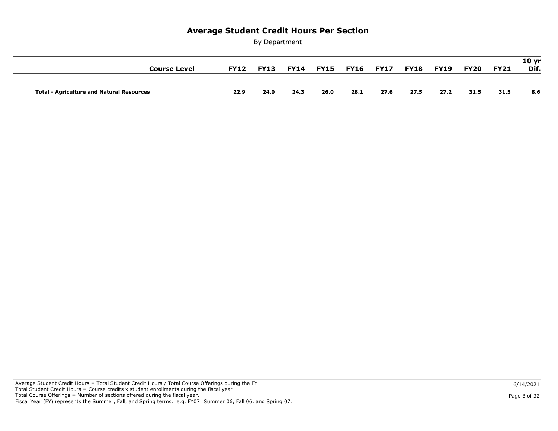|      |              |      |      |              | 8.6  |
|------|--------------|------|------|--------------|------|
| 24.3 | 26.0<br>28.1 | 27.6 | 27.5 | 31.5<br>27.2 | 31.5 |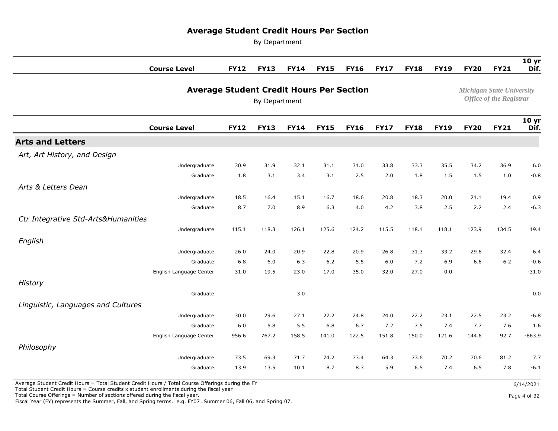By Department

| <b>Course Level</b>                 | <b>FY12</b>                                     | <b>FY13</b> | <b>FY14</b> | <b>FY15</b>                      | <b>FY16</b>                    | <b>FY17</b> | <b>FY18</b> | <b>FY19</b> | <b>FY20</b> | <b>FY21</b> | 10 <sub>yr</sub><br>Dif. |
|-------------------------------------|-------------------------------------------------|-------------|-------------|----------------------------------|--------------------------------|-------------|-------------|-------------|-------------|-------------|--------------------------|
|                                     | <b>Average Student Credit Hours Per Section</b> |             |             | <b>Michigan State University</b> | <b>Office of the Registrar</b> |             |             |             |             |             |                          |
| <b>Course Level</b>                 | <b>FY12</b>                                     | <b>FY13</b> | <b>FY14</b> | <b>FY15</b>                      | <b>FY16</b>                    | <b>FY17</b> | <b>FY18</b> | <b>FY19</b> | <b>FY20</b> | <b>FY21</b> | 10 <sub>yr</sub><br>Dif. |
| <b>Arts and Letters</b>             |                                                 |             |             |                                  |                                |             |             |             |             |             |                          |
| Art, Art History, and Design        |                                                 |             |             |                                  |                                |             |             |             |             |             |                          |
| Undergraduate                       | 30.9                                            | 31.9        | 32.1        | 31.1                             | 31.0                           | 33.8        | 33.3        | 35.5        | 34.2        | 36.9        | 6.0                      |
| Graduate                            | 1.8                                             | 3.1         | 3.4         | 3.1                              | 2.5                            | 2.0         | 1.8         | 1.5         | 1.5         | 1.0         | $-0.8$                   |
| Arts & Letters Dean                 |                                                 |             |             |                                  |                                |             |             |             |             |             |                          |
| Undergraduate                       | 18.5                                            | 16.4        | 15.1        | 16.7                             | 18.6                           | 20.8        | 18.3        | 20.0        | 21.1        | 19.4        | 0.9                      |
| Graduate                            | 8.7                                             | 7.0         | 8.9         | 6.3                              | 4.0                            | 4.2         | 3.8         | 2.5         | 2.2         | 2.4         | $-6.3$                   |
| Ctr Integrative Std-Arts&Humanities |                                                 |             |             |                                  |                                |             |             |             |             |             |                          |
| Undergraduate                       | 115.1                                           | 118.3       | 126.1       | 125.6                            | 124.2                          | 115.5       | 118.1       | 118.1       | 123.9       | 134.5       | 19.4                     |
| English                             |                                                 |             |             |                                  |                                |             |             |             |             |             |                          |
| Undergraduate                       | 26.0                                            | 24.0        | 20.9        | 22.8                             | 20.9                           | 26.8        | 31.3        | 33.2        | 29.6        | 32.4        | 6.4                      |
| Graduate                            | 6.8                                             | 6.0         | 6.3         | $6.2$                            | 5.5                            | 6.0         | 7.2         | 6.9         | 6.6         | $6.2$       | $-0.6$                   |
| English Language Center             | 31.0                                            | 19.5        | 23.0        | 17.0                             | 35.0                           | 32.0        | 27.0        | 0.0         |             |             | $-31.0$                  |
| History                             |                                                 |             |             |                                  |                                |             |             |             |             |             |                          |
| Graduate                            |                                                 |             | 3.0         |                                  |                                |             |             |             |             |             | 0.0                      |
| Linguistic, Languages and Cultures  |                                                 |             |             |                                  |                                |             |             |             |             |             |                          |
| Undergraduate                       | 30.0                                            | 29.6        | 27.1        | 27.2                             | 24.8                           | 24.0        | 22.2        | 23.1        | 22.5        | 23.2        | $-6.8$                   |
| Graduate                            | 6.0                                             | 5.8         | 5.5         | 6.8                              | 6.7                            | 7.2         | 7.5         | 7.4         | 7.7         | 7.6         | 1.6                      |
| English Language Center             | 956.6                                           | 767.2       | 158.5       | 141.0                            | 122.5                          | 151.8       | 150.0       | 121.6       | 144.6       | 92.7        | $-863.9$                 |
| Philosophy                          |                                                 |             |             |                                  |                                |             |             |             |             |             |                          |
| Undergraduate                       | 73.5                                            | 69.3        | 71.7        | 74.2                             | 73.4                           | 64.3        | 73.6        | 70.2        | 70.6        | 81.2        | 7.7                      |
| Graduate                            | 13.9                                            | 13.5        | 10.1        | 8.7                              | 8.3                            | 5.9         | 6.5         | 7.4         | 6.5         | 7.8         | $-6.1$                   |

Average Student Credit Hours = Total Student Credit Hours / Total Course Offerings during the FY

Total Student Credit Hours = Course credits x student enrollments during the fiscal year

Total Course Offerings = Number of sections offered during the fiscal year.

Fiscal Year (FY) represents the Summer, Fall, and Spring terms. e.g. FY07=Summer 06, Fall 06, and Spring 07.

Page 4 of 32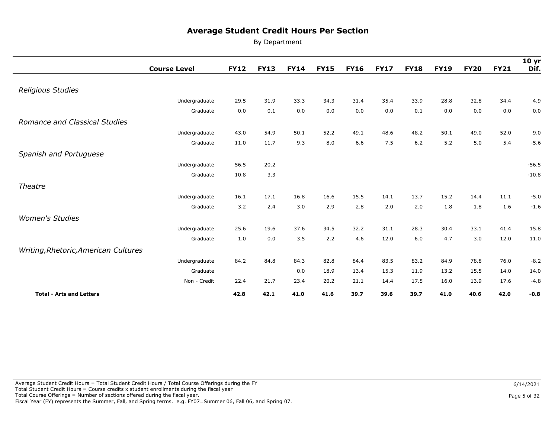|                                      | <b>Course Level</b> | <b>FY12</b> | <b>FY13</b> | <b>FY14</b> | <b>FY15</b> | <b>FY16</b> | <b>FY17</b> | <b>FY18</b> | <b>FY19</b> | <b>FY20</b> | <b>FY21</b> | 10 <sub>yr</sub><br>Dif. |
|--------------------------------------|---------------------|-------------|-------------|-------------|-------------|-------------|-------------|-------------|-------------|-------------|-------------|--------------------------|
|                                      |                     |             |             |             |             |             |             |             |             |             |             |                          |
| Religious Studies                    |                     |             |             |             |             |             |             |             |             |             |             |                          |
|                                      | Undergraduate       | 29.5        | 31.9        | 33.3        | 34.3        | 31.4        | 35.4        | 33.9        | 28.8        | 32.8        | 34.4        | 4.9                      |
|                                      | Graduate            | 0.0         | 0.1         | 0.0         | 0.0         | 0.0         | 0.0         | 0.1         | 0.0         | 0.0         | 0.0         | 0.0                      |
| <b>Romance and Classical Studies</b> |                     |             |             |             |             |             |             |             |             |             |             |                          |
|                                      | Undergraduate       | 43.0        | 54.9        | 50.1        | 52.2        | 49.1        | 48.6        | 48.2        | 50.1        | 49.0        | 52.0        | 9.0                      |
|                                      | Graduate            | 11.0        | 11.7        | 9.3         | 8.0         | 6.6         | 7.5         | 6.2         | 5.2         | 5.0         | 5.4         | $-5.6$                   |
| Spanish and Portuguese               |                     |             |             |             |             |             |             |             |             |             |             |                          |
|                                      | Undergraduate       | 56.5        | 20.2        |             |             |             |             |             |             |             |             | $-56.5$                  |
|                                      | Graduate            | 10.8        | 3.3         |             |             |             |             |             |             |             |             | $-10.8$                  |
| Theatre                              |                     |             |             |             |             |             |             |             |             |             |             |                          |
|                                      | Undergraduate       | 16.1        | 17.1        | 16.8        | 16.6        | 15.5        | 14.1        | 13.7        | 15.2        | 14.4        | 11.1        | $-5.0$                   |
|                                      | Graduate            | 3.2         | 2.4         | 3.0         | 2.9         | 2.8         | 2.0         | 2.0         | 1.8         | 1.8         | 1.6         | $-1.6$                   |
| <b>Women's Studies</b>               |                     |             |             |             |             |             |             |             |             |             |             |                          |
|                                      | Undergraduate       | 25.6        | 19.6        | 37.6        | 34.5        | 32.2        | 31.1        | 28.3        | 30.4        | 33.1        | 41.4        | 15.8                     |
|                                      | Graduate            | 1.0         | 0.0         | 3.5         | 2.2         | 4.6         | 12.0        | 6.0         | 4.7         | 3.0         | 12.0        | 11.0                     |
| Writing, Rhetoric, American Cultures |                     |             |             |             |             |             |             |             |             |             |             |                          |
|                                      | Undergraduate       | 84.2        | 84.8        | 84.3        | 82.8        | 84.4        | 83.5        | 83.2        | 84.9        | 78.8        | 76.0        | $-8.2$                   |
|                                      | Graduate            |             |             | 0.0         | 18.9        | 13.4        | 15.3        | 11.9        | 13.2        | 15.5        | 14.0        | 14.0                     |
|                                      | Non - Credit        | 22.4        | 21.7        | 23.4        | 20.2        | 21.1        | 14.4        | 17.5        | 16.0        | 13.9        | 17.6        | $-4.8$                   |
| <b>Total - Arts and Letters</b>      |                     | 42.8        | 42.1        | 41.0        | 41.6        | 39.7        | 39.6        | 39.7        | 41.0        | 40.6        | 42.0        | $-0.8$                   |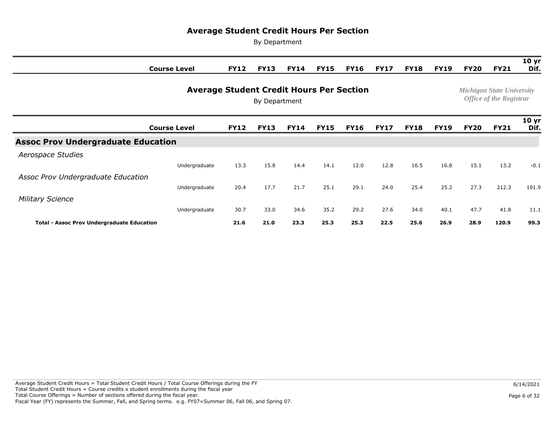|                                                   | <b>Course Level</b> | <b>FY12</b> | <b>FY13</b>                                                        | <b>FY14</b> | <b>FY15</b> | <b>FY16</b> | <b>FY17</b> | <b>FY18</b> | <b>FY19</b> | <b>FY20</b> | <b>FY21</b> | 10 <sub>yr</sub><br>Dif. |
|---------------------------------------------------|---------------------|-------------|--------------------------------------------------------------------|-------------|-------------|-------------|-------------|-------------|-------------|-------------|-------------|--------------------------|
|                                                   |                     |             | <b>Michigan State University</b><br><b>Office of the Registrar</b> |             |             |             |             |             |             |             |             |                          |
|                                                   | <b>Course Level</b> | <b>FY12</b> | <b>FY13</b>                                                        | <b>FY14</b> | <b>FY15</b> | <b>FY16</b> | <b>FY17</b> | <b>FY18</b> | <b>FY19</b> | <b>FY20</b> | <b>FY21</b> | 10 <sub>yr</sub><br>Dif. |
| <b>Assoc Prov Undergraduate Education</b>         |                     |             |                                                                    |             |             |             |             |             |             |             |             |                          |
| Aerospace Studies                                 |                     |             |                                                                    |             |             |             |             |             |             |             |             |                          |
|                                                   | Undergraduate       | 13.3        | 15.8                                                               | 14.4        | 14.1        | 12.0        | 12.8        | 16.5        | 16.8        | 15.1        | 13.2        | $-0.1$                   |
| Assoc Prov Undergraduate Education                |                     |             |                                                                    |             |             |             |             |             |             |             |             |                          |
|                                                   | Undergraduate       | 20.4        | 17.7                                                               | 21.7        | 25.1        | 29.1        | 24.0        | 25.4        | 25.2        | 27.3        | 212.3       | 191.9                    |
| <b>Military Science</b>                           |                     |             |                                                                    |             |             |             |             |             |             |             |             |                          |
|                                                   | Undergraduate       | 30.7        | 33.0                                                               | 34.6        | 35.2        | 29.2        | 27.6        | 34.0        | 40.1        | 47.7        | 41.8        | 11.1                     |
| <b>Total - Assoc Prov Undergraduate Education</b> |                     | 21.6        | 21.0                                                               | 23.3        | 25.3        | 25.3        | 22.5        | 25.6        | 26.9        | 28.9        | 120.9       | 99.3                     |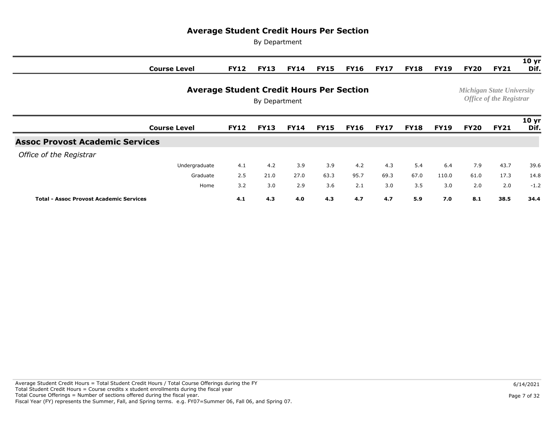|                                                                  | <b>Course Level</b> | <b>FY12</b> | <b>FY13</b> | <b>FY14</b> | <b>FY15</b> | <b>FY16</b> | <b>FY17</b> | <b>FY18</b> | <b>FY19</b> | <b>FY20</b> | <b>FY21</b> | 10 <sub>yr</sub><br>Dif.                                           |
|------------------------------------------------------------------|---------------------|-------------|-------------|-------------|-------------|-------------|-------------|-------------|-------------|-------------|-------------|--------------------------------------------------------------------|
| <b>Average Student Credit Hours Per Section</b><br>By Department |                     |             |             |             |             |             |             |             |             |             |             | <b>Michigan State University</b><br><b>Office of the Registrar</b> |
|                                                                  | <b>Course Level</b> | <b>FY12</b> | <b>FY13</b> | <b>FY14</b> | <b>FY15</b> | <b>FY16</b> | <b>FY17</b> | <b>FY18</b> | <b>FY19</b> | <b>FY20</b> | <b>FY21</b> | 10 <sub>yr</sub><br>Dif.                                           |
| <b>Assoc Provost Academic Services</b>                           |                     |             |             |             |             |             |             |             |             |             |             |                                                                    |
| Office of the Registrar                                          |                     |             |             |             |             |             |             |             |             |             |             |                                                                    |
|                                                                  | Undergraduate       | 4.1         | 4.2         | 3.9         | 3.9         | 4.2         | 4.3         | 5.4         | 6.4         | 7.9         | 43.7        | 39.6                                                               |
|                                                                  | Graduate            | 2.5         | 21.0        | 27.0        | 63.3        | 95.7        | 69.3        | 67.0        | 110.0       | 61.0        | 17.3        | 14.8                                                               |
|                                                                  | Home                | 3.2         | 3.0         | 2.9         | 3.6         | 2.1         | 3.0         | 3.5         | 3.0         | 2.0         | 2.0         | $-1.2$                                                             |
| <b>Total - Assoc Provost Academic Services</b>                   |                     | 4.1         | 4.3         | 4.0         | 4.3         | 4.7         | 4.7         | 5.9         | 7.0         | 8.1         | 38.5        | 34.4                                                               |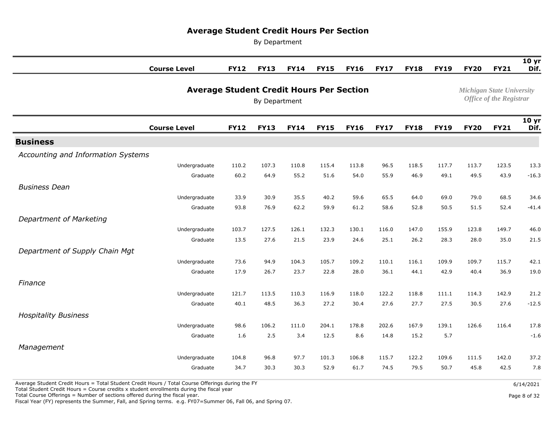By Department

| <b>Course Level</b>                |                                                 | <b>FY12</b> | <b>FY13</b> | <b>FY14</b>                      | <b>FY15</b>                    | <b>FY16</b> | <b>FY17</b> | <b>FY18</b> | <b>FY19</b> | <b>FY20</b> | <b>FY21</b> | 10 <sub>yr</sub><br>Dif. |
|------------------------------------|-------------------------------------------------|-------------|-------------|----------------------------------|--------------------------------|-------------|-------------|-------------|-------------|-------------|-------------|--------------------------|
|                                    | <b>Average Student Credit Hours Per Section</b> |             |             | <b>Michigan State University</b> | <b>Office of the Registrar</b> |             |             |             |             |             |             |                          |
| <b>Course Level</b>                |                                                 | <b>FY12</b> | <b>FY13</b> | <b>FY14</b>                      | <b>FY15</b>                    | <b>FY16</b> | <b>FY17</b> | <b>FY18</b> | <b>FY19</b> | <b>FY20</b> | <b>FY21</b> | 10 <sub>yr</sub><br>Dif. |
| <b>Business</b>                    |                                                 |             |             |                                  |                                |             |             |             |             |             |             |                          |
| Accounting and Information Systems |                                                 |             |             |                                  |                                |             |             |             |             |             |             |                          |
|                                    | Undergraduate                                   | 110.2       | 107.3       | 110.8                            | 115.4                          | 113.8       | 96.5        | 118.5       | 117.7       | 113.7       | 123.5       | 13.3                     |
|                                    | Graduate                                        | 60.2        | 64.9        | 55.2                             | 51.6                           | 54.0        | 55.9        | 46.9        | 49.1        | 49.5        | 43.9        | $-16.3$                  |
| <b>Business Dean</b>               |                                                 |             |             |                                  |                                |             |             |             |             |             |             |                          |
|                                    | Undergraduate                                   | 33.9        | 30.9        | 35.5                             | 40.2                           | 59.6        | 65.5        | 64.0        | 69.0        | 79.0        | 68.5        | 34.6                     |
|                                    | Graduate                                        | 93.8        | 76.9        | 62.2                             | 59.9                           | 61.2        | 58.6        | 52.8        | 50.5        | 51.5        | 52.4        | $-41.4$                  |
| Department of Marketing            |                                                 |             |             |                                  |                                |             |             |             |             |             |             |                          |
|                                    | Undergraduate                                   | 103.7       | 127.5       | 126.1                            | 132.3                          | 130.1       | 116.0       | 147.0       | 155.9       | 123.8       | 149.7       | 46.0                     |
|                                    | Graduate                                        | 13.5        | 27.6        | 21.5                             | 23.9                           | 24.6        | 25.1        | 26.2        | 28.3        | 28.0        | 35.0        | 21.5                     |
| Department of Supply Chain Mgt     |                                                 |             |             |                                  |                                |             |             |             |             |             |             |                          |
|                                    | Undergraduate                                   | 73.6        | 94.9        | 104.3                            | 105.7                          | 109.2       | 110.1       | 116.1       | 109.9       | 109.7       | 115.7       | 42.1                     |
|                                    | Graduate                                        | 17.9        | 26.7        | 23.7                             | 22.8                           | 28.0        | 36.1        | 44.1        | 42.9        | 40.4        | 36.9        | 19.0                     |
| Finance                            |                                                 |             |             |                                  |                                |             |             |             |             |             |             |                          |
|                                    | Undergraduate                                   | 121.7       | 113.5       | 110.3                            | 116.9                          | 118.0       | 122.2       | 118.8       | 111.1       | 114.3       | 142.9       | 21.2                     |
|                                    | Graduate                                        | 40.1        | 48.5        | 36.3                             | 27.2                           | 30.4        | 27.6        | 27.7        | 27.5        | 30.5        | 27.6        | $-12.5$                  |
| <b>Hospitality Business</b>        |                                                 |             |             |                                  |                                |             |             |             |             |             |             |                          |
|                                    | Undergraduate                                   | 98.6        | 106.2       | 111.0                            | 204.1                          | 178.8       | 202.6       | 167.9       | 139.1       | 126.6       | 116.4       | 17.8                     |
|                                    | Graduate                                        | 1.6         | 2.5         | 3.4                              | 12.5                           | 8.6         | 14.8        | 15.2        | 5.7         |             |             | $-1.6$                   |
| Management                         |                                                 |             |             |                                  |                                |             |             |             |             |             |             |                          |
|                                    | Undergraduate                                   | 104.8       | 96.8        | 97.7                             | 101.3                          | 106.8       | 115.7       | 122.2       | 109.6       | 111.5       | 142.0       | 37.2                     |
|                                    | Graduate                                        | 34.7        | 30.3        | 30.3                             | 52.9                           | 61.7        | 74.5        | 79.5        | 50.7        | 45.8        | 42.5        | 7.8                      |

Average Student Credit Hours = Total Student Credit Hours / Total Course Offerings during the FY

Total Student Credit Hours = Course credits x student enrollments during the fiscal year

Total Course Offerings = Number of sections offered during the fiscal year.

Fiscal Year (FY) represents the Summer, Fall, and Spring terms. e.g. FY07=Summer 06, Fall 06, and Spring 07.

Page 8 of 32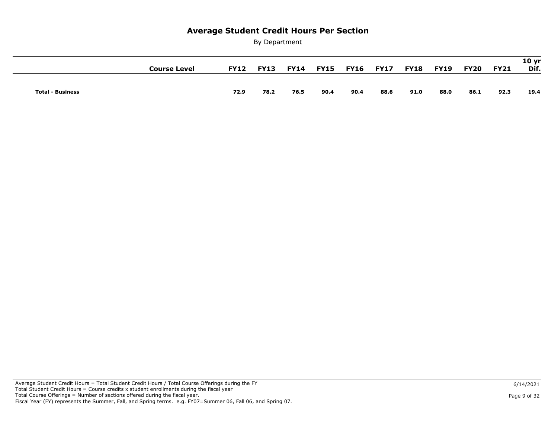|                         | Course Level | <b>FY12</b> | <b>FY13</b> | <b>FY14</b> |      | <b>FY15 FY16 FY17</b> |      | <b>FY18</b> | <b>FY19</b> | <b>FY20</b> | <b>FY21</b> | 10 <sub>yr</sub><br>Dif. |
|-------------------------|--------------|-------------|-------------|-------------|------|-----------------------|------|-------------|-------------|-------------|-------------|--------------------------|
|                         |              |             |             |             |      |                       |      |             |             |             |             |                          |
| <b>Total - Business</b> |              | 72.9        | 78.2        | 76.5        | 90.4 | 90.4                  | 88.6 | 91.0        | 88.0        | 86.1        | 92.3        | 19.4                     |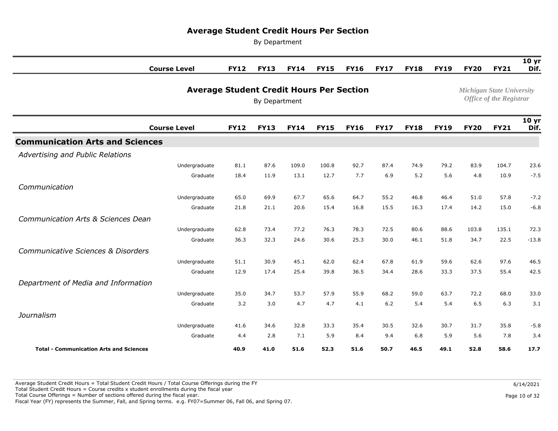By Department

|                                                | <b>Course Level</b>                             | <b>FY12</b> | <b>FY13</b>   | <b>FY14</b> | <b>FY15</b> | <b>FY16</b> | <b>FY17</b> | <b>FY18</b> | <b>FY19</b> | <b>FY20</b>                      | <b>FY21</b>                    | 10 <sub>yr</sub><br>Dif. |
|------------------------------------------------|-------------------------------------------------|-------------|---------------|-------------|-------------|-------------|-------------|-------------|-------------|----------------------------------|--------------------------------|--------------------------|
|                                                |                                                 |             |               |             |             |             |             |             |             |                                  |                                |                          |
|                                                | <b>Average Student Credit Hours Per Section</b> |             |               |             |             |             |             |             |             | <b>Michigan State University</b> | <b>Office of the Registrar</b> |                          |
|                                                |                                                 |             | By Department |             |             |             |             |             |             |                                  |                                |                          |
|                                                | <b>Course Level</b>                             | <b>FY12</b> | <b>FY13</b>   | <b>FY14</b> | <b>FY15</b> | <b>FY16</b> | <b>FY17</b> | <b>FY18</b> | <b>FY19</b> | <b>FY20</b>                      | <b>FY21</b>                    | 10 <sub>yr</sub><br>Dif. |
| <b>Communication Arts and Sciences</b>         |                                                 |             |               |             |             |             |             |             |             |                                  |                                |                          |
| Advertising and Public Relations               |                                                 |             |               |             |             |             |             |             |             |                                  |                                |                          |
|                                                | Undergraduate                                   | 81.1        | 87.6          | 109.0       | 100.8       | 92.7        | 87.4        | 74.9        | 79.2        | 83.9                             | 104.7                          | 23.6                     |
|                                                | Graduate                                        | 18.4        | 11.9          | 13.1        | 12.7        | 7.7         | 6.9         | 5.2         | 5.6         | 4.8                              | 10.9                           | $-7.5$                   |
| Communication                                  |                                                 |             |               |             |             |             |             |             |             |                                  |                                |                          |
|                                                | Undergraduate                                   | 65.0        | 69.9          | 67.7        | 65.6        | 64.7        | 55.2        | 46.8        | 46.4        | 51.0                             | 57.8                           | $-7.2$                   |
|                                                | Graduate                                        | 21.8        | 21.1          | 20.6        | 15.4        | 16.8        | 15.5        | 16.3        | 17.4        | 14.2                             | 15.0                           | $-6.8$                   |
| Communication Arts & Sciences Dean             |                                                 |             |               |             |             |             |             |             |             |                                  |                                |                          |
|                                                | Undergraduate                                   | 62.8        | 73.4          | 77.2        | 76.3        | 78.3        | 72.5        | 80.6        | 88.6        | 103.8                            | 135.1                          | 72.3                     |
|                                                | Graduate                                        | 36.3        | 32.3          | 24.6        | 30.6        | 25.3        | 30.0        | 46.1        | 51.8        | 34.7                             | 22.5                           | $-13.8$                  |
| Communicative Sciences & Disorders             |                                                 |             |               |             |             |             |             |             |             |                                  |                                |                          |
|                                                | Undergraduate                                   | 51.1        | 30.9          | 45.1        | 62.0        | 62.4        | 67.8        | 61.9        | 59.6        | 62.6                             | 97.6                           | 46.5                     |
|                                                | Graduate                                        | 12.9        | 17.4          | 25.4        | 39.8        | 36.5        | 34.4        | 28.6        | 33.3        | 37.5                             | 55.4                           | 42.5                     |
| Department of Media and Information            |                                                 |             |               |             |             |             |             |             |             |                                  |                                |                          |
|                                                | Undergraduate                                   | 35.0        | 34.7          | 53.7        | 57.9        | 55.9        | 68.2        | 59.0        | 63.7        | 72.2                             | 68.0                           | 33.0                     |
|                                                | Graduate                                        | 3.2         | 3.0           | 4.7         | 4.7         | 4.1         | $6.2$       | 5.4         | 5.4         | 6.5                              | 6.3                            | 3.1                      |
| Journalism                                     |                                                 |             |               |             |             |             |             |             |             |                                  |                                |                          |
|                                                | Undergraduate                                   | 41.6        | 34.6          | 32.8        | 33.3        | 35.4        | 30.5        | 32.6        | 30.7        | 31.7                             | 35.8                           | $-5.8$                   |
|                                                | Graduate                                        | 4.4         | 2.8           | 7.1         | 5.9         | 8.4         | 9.4         | 6.8         | 5.9         | 5.6                              | 7.8                            | 3.4                      |
| <b>Total - Communication Arts and Sciences</b> |                                                 | 40.9        | 41.0          | 51.6        | 52.3        | 51.6        | 50.7        | 46.5        | 49.1        | 52.8                             | 58.6                           | 17.7                     |

 Average Student Credit Hours = Total Student Credit Hours / Total Course Offerings during the FY Total Student Credit Hours = Course credits x student enrollments during the fiscal year Total Course Offerings = Number of sections offered during the fiscal year.

Fiscal Year (FY) represents the Summer, Fall, and Spring terms. e.g. FY07=Summer 06, Fall 06, and Spring 07.

Page 10 of 32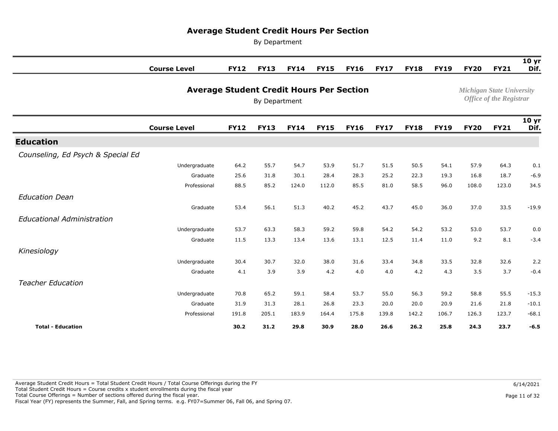By Department

|                                   | <b>Course Level</b>                             | <b>FY12</b> | <b>FY13</b>   | <b>FY14</b> | <b>FY15</b> | <b>FY16</b> | <b>FY17</b> | <b>FY18</b> | <b>FY19</b> | <b>FY20</b> | <b>FY21</b>                                                        | 10 <sub>yr</sub><br>Dif. |
|-----------------------------------|-------------------------------------------------|-------------|---------------|-------------|-------------|-------------|-------------|-------------|-------------|-------------|--------------------------------------------------------------------|--------------------------|
|                                   |                                                 |             |               |             |             |             |             |             |             |             |                                                                    |                          |
|                                   | <b>Average Student Credit Hours Per Section</b> |             | By Department |             |             |             |             |             |             |             | <b>Michigan State University</b><br><b>Office of the Registrar</b> |                          |
|                                   | <b>Course Level</b>                             | <b>FY12</b> | <b>FY13</b>   | <b>FY14</b> | <b>FY15</b> | <b>FY16</b> | <b>FY17</b> | <b>FY18</b> | <b>FY19</b> | <b>FY20</b> | <b>FY21</b>                                                        | 10 <sub>yr</sub><br>Dif. |
| <b>Education</b>                  |                                                 |             |               |             |             |             |             |             |             |             |                                                                    |                          |
| Counseling, Ed Psych & Special Ed |                                                 |             |               |             |             |             |             |             |             |             |                                                                    |                          |
|                                   | Undergraduate                                   | 64.2        | 55.7          | 54.7        | 53.9        | 51.7        | 51.5        | 50.5        | 54.1        | 57.9        | 64.3                                                               | 0.1                      |
|                                   | Graduate                                        | 25.6        | 31.8          | 30.1        | 28.4        | 28.3        | 25.2        | 22.3        | 19.3        | 16.8        | 18.7                                                               | $-6.9$                   |
|                                   | Professional                                    | 88.5        | 85.2          | 124.0       | 112.0       | 85.5        | 81.0        | 58.5        | 96.0        | 108.0       | 123.0                                                              | 34.5                     |
| <b>Education Dean</b>             |                                                 |             |               |             |             |             |             |             |             |             |                                                                    |                          |
|                                   | Graduate                                        | 53.4        | 56.1          | 51.3        | 40.2        | 45.2        | 43.7        | 45.0        | 36.0        | 37.0        | 33.5                                                               | $-19.9$                  |
| <b>Educational Administration</b> |                                                 |             |               |             |             |             |             |             |             |             |                                                                    |                          |
|                                   | Undergraduate                                   | 53.7        | 63.3          | 58.3        | 59.2        | 59.8        | 54.2        | 54.2        | 53.2        | 53.0        | 53.7                                                               | 0.0                      |
|                                   | Graduate                                        | 11.5        | 13.3          | 13.4        | 13.6        | 13.1        | 12.5        | 11.4        | 11.0        | 9.2         | 8.1                                                                | $-3.4$                   |
| Kinesiology                       |                                                 |             |               |             |             |             |             |             |             |             |                                                                    |                          |
|                                   | Undergraduate                                   | 30.4        | 30.7          | 32.0        | 38.0        | 31.6        | 33.4        | 34.8        | 33.5        | 32.8        | 32.6                                                               | 2.2                      |
|                                   | Graduate                                        | 4.1         | 3.9           | 3.9         | 4.2         | 4.0         | 4.0         | 4.2         | 4.3         | 3.5         | 3.7                                                                | $-0.4$                   |
| <b>Teacher Education</b>          |                                                 |             |               |             |             |             |             |             |             |             |                                                                    |                          |
|                                   | Undergraduate                                   | 70.8        | 65.2          | 59.1        | 58.4        | 53.7        | 55.0        | 56.3        | 59.2        | 58.8        | 55.5                                                               | $-15.3$                  |
|                                   | Graduate                                        | 31.9        | 31.3          | 28.1        | 26.8        | 23.3        | 20.0        | 20.0        | 20.9        | 21.6        | 21.8                                                               | $-10.1$                  |
|                                   | Professional                                    | 191.8       | 205.1         | 183.9       | 164.4       | 175.8       | 139.8       | 142.2       | 106.7       | 126.3       | 123.7                                                              | $-68.1$                  |
| <b>Total - Education</b>          |                                                 | 30.2        | 31.2          | 29.8        | 30.9        | 28.0        | 26.6        | 26.2        | 25.8        | 24.3        | 23.7                                                               | $-6.5$                   |

 Average Student Credit Hours = Total Student Credit Hours / Total Course Offerings during the FY Total Student Credit Hours = Course credits x student enrollments during the fiscal year Total Course Offerings = Number of sections offered during the fiscal year. Fiscal Year (FY) represents the Summer, Fall, and Spring terms. e.g. FY07=Summer 06, Fall 06, and Spring 07.

Page 11 of 32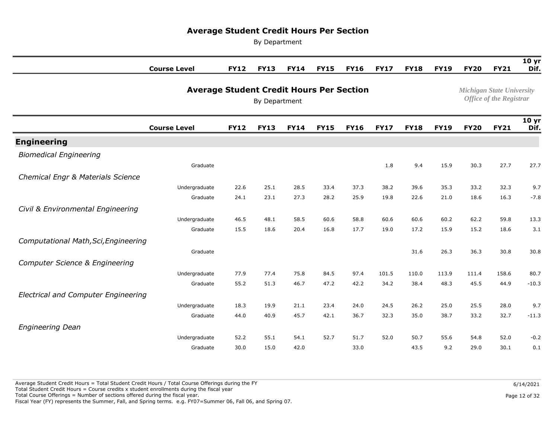By Department

|                                            | <b>Course Level</b>                             | <b>FY12</b> | <b>FY13</b> | <b>FY14</b>                      | <b>FY15</b>                    | <b>FY16</b> | <b>FY17</b> | <b>FY18</b> | <b>FY19</b> | <b>FY20</b> | <b>FY21</b> | 10 <sub>yr</sub><br>Dif. |
|--------------------------------------------|-------------------------------------------------|-------------|-------------|----------------------------------|--------------------------------|-------------|-------------|-------------|-------------|-------------|-------------|--------------------------|
|                                            | <b>Average Student Credit Hours Per Section</b> |             |             | <b>Michigan State University</b> | <b>Office of the Registrar</b> |             |             |             |             |             |             |                          |
|                                            | <b>Course Level</b>                             | <b>FY12</b> | <b>FY13</b> | <b>FY14</b>                      | <b>FY15</b>                    | <b>FY16</b> | <b>FY17</b> | <b>FY18</b> | <b>FY19</b> | <b>FY20</b> | <b>FY21</b> | 10 <sub>yr</sub><br>Dif. |
| <b>Engineering</b>                         |                                                 |             |             |                                  |                                |             |             |             |             |             |             |                          |
| <b>Biomedical Engineering</b>              |                                                 |             |             |                                  |                                |             |             |             |             |             |             |                          |
|                                            | Graduate                                        |             |             |                                  |                                |             | 1.8         | 9.4         | 15.9        | 30.3        | 27.7        | 27.7                     |
| Chemical Engr & Materials Science          |                                                 |             |             |                                  |                                |             |             |             |             |             |             |                          |
|                                            | Undergraduate                                   | 22.6        | 25.1        | 28.5                             | 33.4                           | 37.3        | 38.2        | 39.6        | 35.3        | 33.2        | 32.3        | 9.7                      |
|                                            | Graduate                                        | 24.1        | 23.1        | 27.3                             | 28.2                           | 25.9        | 19.8        | 22.6        | 21.0        | 18.6        | 16.3        | $-7.8$                   |
| Civil & Environmental Engineering          |                                                 |             |             |                                  |                                |             |             |             |             |             |             |                          |
|                                            | Undergraduate                                   | 46.5        | 48.1        | 58.5                             | 60.6                           | 58.8        | 60.6        | 60.6        | 60.2        | 62.2        | 59.8        | 13.3                     |
|                                            | Graduate                                        | 15.5        | 18.6        | 20.4                             | 16.8                           | 17.7        | 19.0        | 17.2        | 15.9        | 15.2        | 18.6        | 3.1                      |
| Computational Math, Sci, Engineering       |                                                 |             |             |                                  |                                |             |             |             |             |             |             |                          |
|                                            | Graduate                                        |             |             |                                  |                                |             |             | 31.6        | 26.3        | 36.3        | 30.8        | 30.8                     |
| Computer Science & Engineering             |                                                 |             |             |                                  |                                |             |             |             |             |             |             |                          |
|                                            | Undergraduate                                   | 77.9        | 77.4        | 75.8                             | 84.5                           | 97.4        | 101.5       | 110.0       | 113.9       | 111.4       | 158.6       | 80.7                     |
|                                            | Graduate                                        | 55.2        | 51.3        | 46.7                             | 47.2                           | 42.2        | 34.2        | 38.4        | 48.3        | 45.5        | 44.9        | $-10.3$                  |
| <b>Electrical and Computer Engineering</b> |                                                 |             |             |                                  |                                |             |             |             |             |             |             |                          |
|                                            | Undergraduate                                   | 18.3        | 19.9        | 21.1                             | 23.4                           | 24.0        | 24.5        | 26.2        | 25.0        | 25.5        | 28.0        | 9.7                      |
|                                            | Graduate                                        | 44.0        | 40.9        | 45.7                             | 42.1                           | 36.7        | 32.3        | 35.0        | 38.7        | 33.2        | 32.7        | $-11.3$                  |
| <b>Engineering Dean</b>                    |                                                 |             |             |                                  |                                |             |             |             |             |             |             |                          |
|                                            | Undergraduate                                   | 52.2        | 55.1        | 54.1                             | 52.7                           | 51.7        | 52.0        | 50.7        | 55.6        | 54.8        | 52.0        | $-0.2$                   |
|                                            | Graduate                                        | 30.0        | 15.0        | 42.0                             |                                | 33.0        |             | 43.5        | 9.2         | 29.0        | 30.1        | 0.1                      |

 Average Student Credit Hours = Total Student Credit Hours / Total Course Offerings during the FY Total Student Credit Hours = Course credits x student enrollments during the fiscal year Total Course Offerings = Number of sections offered during the fiscal year. Fiscal Year (FY) represents the Summer, Fall, and Spring terms. e.g. FY07=Summer 06, Fall 06, and Spring 07.

Page 12 of 32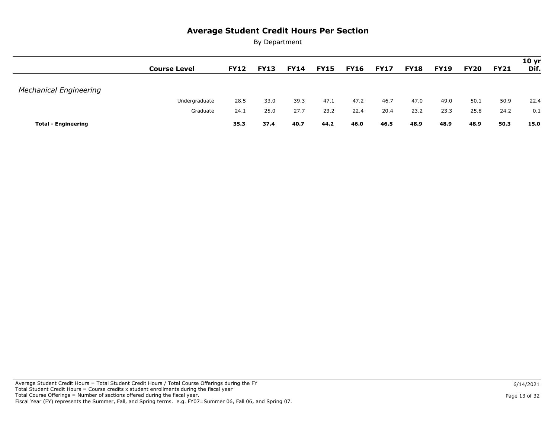|                               |                     |             |             |             |             |             |             |             |             |             |             | 10 <sub>yr</sub> |
|-------------------------------|---------------------|-------------|-------------|-------------|-------------|-------------|-------------|-------------|-------------|-------------|-------------|------------------|
|                               | <b>Course Level</b> | <b>FY12</b> | <b>FY13</b> | <b>FY14</b> | <b>FY15</b> | <b>FY16</b> | <b>FY17</b> | <b>FY18</b> | <b>FY19</b> | <b>FY20</b> | <b>FY21</b> | Dif.             |
|                               |                     |             |             |             |             |             |             |             |             |             |             |                  |
| <b>Mechanical Engineering</b> |                     |             |             |             |             |             |             |             |             |             |             |                  |
|                               | Undergraduate       | 28.5        | 33.0        | 39.3        | 47.1        | 47.2        | 46.7        | 47.0        | 49.0        | 50.1        | 50.9        | 22.4             |
|                               | Graduate            | 24.1        | 25.0        | 27.7        | 23.2        | 22.4        | 20.4        | 23.2        | 23.3        | 25.8        | 24.2        | 0.1              |
| <b>Total - Engineering</b>    |                     | 35.3        | 37.4        | 40.7        | 44.2        | 46.0        | 46.5        | 48.9        | 48.9        | 48.9        | 50.3        | 15.0             |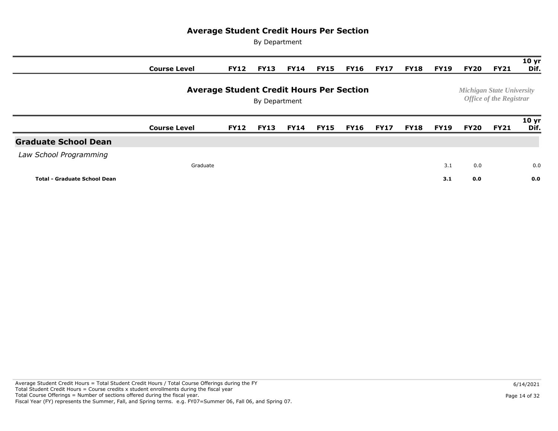|                                     | <b>Course Level</b> | <b>FY12</b>                                     | <b>FY13</b>   | <b>FY14</b> | <b>FY15</b> | <b>FY16</b> | <b>FY17</b> | <b>FY18</b> | <b>FY19</b> | <b>FY20</b> | <b>FY21</b>                                                        | 10 <sub>yr</sub><br>Dif. |
|-------------------------------------|---------------------|-------------------------------------------------|---------------|-------------|-------------|-------------|-------------|-------------|-------------|-------------|--------------------------------------------------------------------|--------------------------|
|                                     |                     | <b>Average Student Credit Hours Per Section</b> | By Department |             |             |             |             |             |             |             | <b>Michigan State University</b><br><b>Office of the Registrar</b> |                          |
|                                     | <b>Course Level</b> | <b>FY12</b>                                     | <b>FY13</b>   | <b>FY14</b> | FY15        | <b>FY16</b> | <b>FY17</b> | <b>FY18</b> | <b>FY19</b> | <b>FY20</b> | <b>FY21</b>                                                        | 10 <sub>yr</sub><br>Dif. |
| <b>Graduate School Dean</b>         |                     |                                                 |               |             |             |             |             |             |             |             |                                                                    |                          |
| Law School Programming              |                     |                                                 |               |             |             |             |             |             |             |             |                                                                    |                          |
|                                     | Graduate            |                                                 |               |             |             |             |             |             | 3.1         | 0.0         |                                                                    | 0.0                      |
| <b>Total - Graduate School Dean</b> |                     |                                                 |               |             |             |             |             |             | 3.1         | 0.0         |                                                                    | 0.0                      |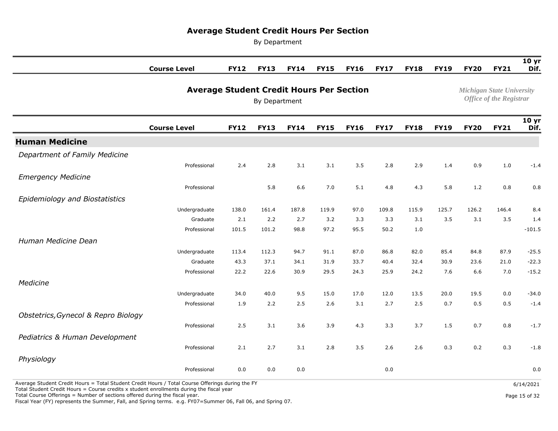By Department

|                                                                                                  | <b>Course Level</b>                             | <b>FY12</b> | <b>FY13</b>   | <b>FY14</b> | <b>FY15</b> | <b>FY16</b> | <b>FY17</b> | <b>FY18</b> | <b>FY19</b> | <b>FY20</b> | <b>FY21</b>                                                 | 10 <sub>yr</sub><br>Dif. |
|--------------------------------------------------------------------------------------------------|-------------------------------------------------|-------------|---------------|-------------|-------------|-------------|-------------|-------------|-------------|-------------|-------------------------------------------------------------|--------------------------|
|                                                                                                  | <b>Average Student Credit Hours Per Section</b> |             | By Department |             |             |             |             |             |             |             | Michigan State University<br><b>Office of the Registrar</b> |                          |
|                                                                                                  | <b>Course Level</b>                             | <b>FY12</b> | <b>FY13</b>   | <b>FY14</b> | <b>FY15</b> | <b>FY16</b> | <b>FY17</b> | <b>FY18</b> | <b>FY19</b> | <b>FY20</b> | <b>FY21</b>                                                 | 10 <sub>yr</sub><br>Dif. |
| <b>Human Medicine</b>                                                                            |                                                 |             |               |             |             |             |             |             |             |             |                                                             |                          |
| Department of Family Medicine                                                                    |                                                 |             |               |             |             |             |             |             |             |             |                                                             |                          |
|                                                                                                  | Professional                                    | 2.4         | 2.8           | 3.1         | 3.1         | 3.5         | 2.8         | 2.9         | 1.4         | 0.9         | 1.0                                                         | $-1.4$                   |
| <b>Emergency Medicine</b>                                                                        |                                                 |             |               |             |             |             |             |             |             |             |                                                             |                          |
|                                                                                                  | Professional                                    |             | 5.8           | 6.6         | 7.0         | 5.1         | 4.8         | 4.3         | 5.8         | 1.2         | 0.8                                                         | 0.8                      |
| Epidemiology and Biostatistics                                                                   |                                                 |             |               |             |             |             |             |             |             |             |                                                             |                          |
|                                                                                                  | Undergraduate                                   | 138.0       | 161.4         | 187.8       | 119.9       | 97.0        | 109.8       | 115.9       | 125.7       | 126.2       | 146.4                                                       | 8.4                      |
|                                                                                                  | Graduate                                        | 2.1         | 2.2           | 2.7         | 3.2         | 3.3         | 3.3         | 3.1         | 3.5         | 3.1         | 3.5                                                         | 1.4                      |
|                                                                                                  | Professional                                    | 101.5       | 101.2         | 98.8        | 97.2        | 95.5        | 50.2        | 1.0         |             |             |                                                             | $-101.5$                 |
| Human Medicine Dean                                                                              |                                                 |             |               |             |             |             |             |             |             |             |                                                             |                          |
|                                                                                                  | Undergraduate                                   | 113.4       | 112.3         | 94.7        | 91.1        | 87.0        | 86.8        | 82.0        | 85.4        | 84.8        | 87.9                                                        | $-25.5$                  |
|                                                                                                  | Graduate                                        | 43.3        | 37.1          | 34.1        | 31.9        | 33.7        | 40.4        | 32.4        | 30.9        | 23.6        | 21.0                                                        | $-22.3$                  |
|                                                                                                  | Professional                                    | 22.2        | 22.6          | 30.9        | 29.5        | 24.3        | 25.9        | 24.2        | 7.6         | 6.6         | 7.0                                                         | $-15.2$                  |
| Medicine                                                                                         |                                                 |             |               |             |             |             |             |             |             |             |                                                             |                          |
|                                                                                                  | Undergraduate                                   | 34.0        | 40.0          | 9.5         | 15.0        | 17.0        | 12.0        | 13.5        | 20.0        | 19.5        | 0.0                                                         | $-34.0$                  |
|                                                                                                  | Professional                                    | 1.9         | 2.2           | 2.5         | 2.6         | 3.1         | 2.7         | 2.5         | 0.7         | 0.5         | 0.5                                                         | $-1.4$                   |
| Obstetrics, Gynecol & Repro Biology                                                              |                                                 |             |               |             |             |             |             |             |             |             |                                                             |                          |
|                                                                                                  | Professional                                    | 2.5         | 3.1           | 3.6         | 3.9         | 4.3         | 3.3         | 3.7         | 1.5         | 0.7         | 0.8                                                         | $-1.7$                   |
| Pediatrics & Human Development                                                                   |                                                 |             |               |             |             |             |             |             |             |             |                                                             |                          |
|                                                                                                  | Professional                                    | 2.1         | 2.7           | 3.1         | 2.8         | 3.5         | 2.6         | 2.6         | 0.3         | 0.2         | 0.3                                                         | $-1.8$                   |
| Physiology                                                                                       |                                                 |             |               |             |             |             |             |             |             |             |                                                             |                          |
|                                                                                                  | Professional                                    | 0.0         | 0.0           | 0.0         |             |             | 0.0         |             |             |             |                                                             | 0.0                      |
| Average Student Credit Hours = Total Student Credit Hours / Total Course Offerings during the FY |                                                 |             |               |             |             |             |             |             |             |             |                                                             | 6/14/2021                |

 Total Student Credit Hours = Course credits x student enrollments during the fiscal year Total Course Offerings = Number of sections offered during the fiscal year.

Fiscal Year (FY) represents the Summer, Fall, and Spring terms. e.g. FY07=Summer 06, Fall 06, and Spring 07.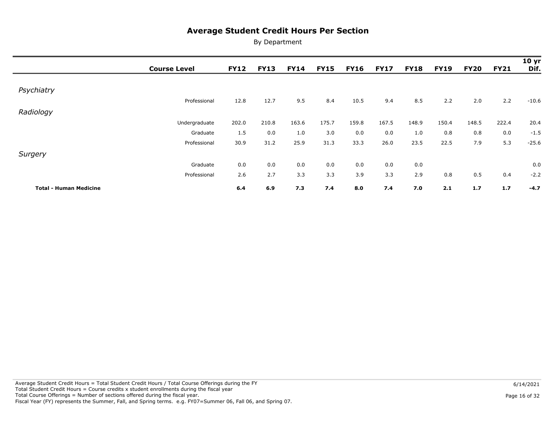|                               | <b>Course Level</b> | <b>FY12</b> | <b>FY13</b> | <b>FY14</b> | <b>FY15</b> | <b>FY16</b> | <b>FY17</b> | <b>FY18</b> | <b>FY19</b> | <b>FY20</b> | <b>FY21</b> | 10 <sub>yr</sub><br>Dif. |
|-------------------------------|---------------------|-------------|-------------|-------------|-------------|-------------|-------------|-------------|-------------|-------------|-------------|--------------------------|
|                               |                     |             |             |             |             |             |             |             |             |             |             |                          |
| Psychiatry                    |                     |             |             |             |             |             |             |             |             |             |             |                          |
|                               | Professional        | 12.8        | 12.7        | 9.5         | 8.4         | 10.5        | 9.4         | 8.5         | 2.2         | 2.0         | 2.2         | $-10.6$                  |
| Radiology                     |                     |             |             |             |             |             |             |             |             |             |             |                          |
|                               | Undergraduate       | 202.0       | 210.8       | 163.6       | 175.7       | 159.8       | 167.5       | 148.9       | 150.4       | 148.5       | 222.4       | 20.4                     |
|                               | Graduate            | 1.5         | 0.0         | 1.0         | 3.0         | 0.0         | 0.0         | 1.0         | 0.8         | 0.8         | 0.0         | $-1.5$                   |
|                               | Professional        | 30.9        | 31.2        | 25.9        | 31.3        | 33.3        | 26.0        | 23.5        | 22.5        | 7.9         | 5.3         | $-25.6$                  |
| Surgery                       |                     |             |             |             |             |             |             |             |             |             |             |                          |
|                               | Graduate            | 0.0         | 0.0         | 0.0         | 0.0         | 0.0         | 0.0         | 0.0         |             |             |             | 0.0                      |
|                               | Professional        | 2.6         | 2.7         | 3.3         | 3.3         | 3.9         | 3.3         | 2.9         | 0.8         | 0.5         | 0.4         | $-2.2$                   |
| <b>Total - Human Medicine</b> |                     | 6.4         | 6.9         | 7.3         | 7.4         | 8.0         | 7.4         | 7.0         | 2.1         | 1.7         | 1.7         | $-4.7$                   |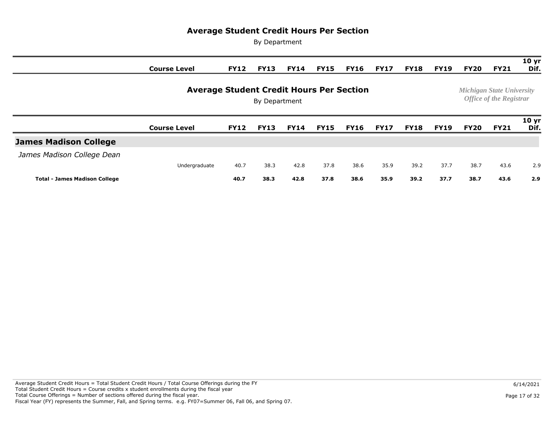|                                      | <b>Course Level</b> | <b>FY12</b> | <b>FY13</b>                                                        | <b>FY14</b> | <b>FY15</b> | <b>FY16</b> | <b>FY17</b> | <b>FY18</b> | <b>FY19</b> | <b>FY20</b> | <b>FY21</b> | 10 <sub>yr</sub><br>Dif. |
|--------------------------------------|---------------------|-------------|--------------------------------------------------------------------|-------------|-------------|-------------|-------------|-------------|-------------|-------------|-------------|--------------------------|
|                                      |                     |             | <b>Michigan State University</b><br><b>Office of the Registrar</b> |             |             |             |             |             |             |             |             |                          |
|                                      | <b>Course Level</b> | <b>FY12</b> | <b>FY13</b>                                                        | <b>FY14</b> | <b>FY15</b> | <b>FY16</b> | <b>FY17</b> | <b>FY18</b> | <b>FY19</b> | <b>FY20</b> | <b>FY21</b> | 10 <sub>yr</sub><br>Dif. |
| <b>James Madison College</b>         |                     |             |                                                                    |             |             |             |             |             |             |             |             |                          |
| James Madison College Dean           |                     |             |                                                                    |             |             |             |             |             |             |             |             |                          |
|                                      | Undergraduate       | 40.7        | 38.3                                                               | 42.8        | 37.8        | 38.6        | 35.9        | 39.2        | 37.7        | 38.7        | 43.6        | 2.9                      |
| <b>Total - James Madison College</b> |                     | 40.7        | 38.3                                                               | 42.8        | 37.8        | 38.6        | 35.9        | 39.2        | 37.7        | 38.7        | 43.6        | 2.9                      |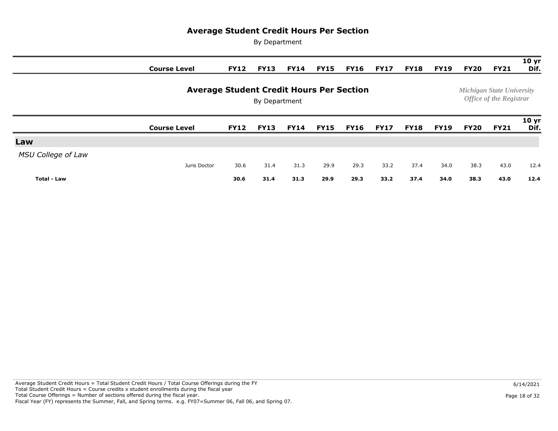|                           | <b>Course Level</b> | <b>FY12</b>                                                        | <b>FY13</b> | <b>FY14</b> | <b>FY15</b> | <b>FY16</b> | <b>FY17</b> | <b>FY18</b> | <b>FY19</b> | <b>FY20</b> | <b>FY21</b> | 10 <sub>yr</sub><br>Dif. |
|---------------------------|---------------------|--------------------------------------------------------------------|-------------|-------------|-------------|-------------|-------------|-------------|-------------|-------------|-------------|--------------------------|
|                           |                     | <b>Michigan State University</b><br><b>Office of the Registrar</b> |             |             |             |             |             |             |             |             |             |                          |
|                           | <b>Course Level</b> | <b>FY12</b>                                                        | <b>FY13</b> | <b>FY14</b> | <b>FY15</b> | <b>FY16</b> | <b>FY17</b> | <b>FY18</b> | <b>FY19</b> | <b>FY20</b> | <b>FY21</b> | 10 <sub>yr</sub><br>Dif. |
| Law                       |                     |                                                                    |             |             |             |             |             |             |             |             |             |                          |
| <b>MSU College of Law</b> |                     |                                                                    |             |             |             |             |             |             |             |             |             |                          |
|                           | Juris Doctor        | 30.6                                                               | 31.4        | 31.3        | 29.9        | 29.3        | 33.2        | 37.4        | 34.0        | 38.3        | 43.0        | 12.4                     |
| <b>Total - Law</b>        |                     | 30.6                                                               | 31.4        | 31.3        | 29.9        | 29.3        | 33.2        | 37.4        | 34.0        | 38.3        | 43.0        | 12.4                     |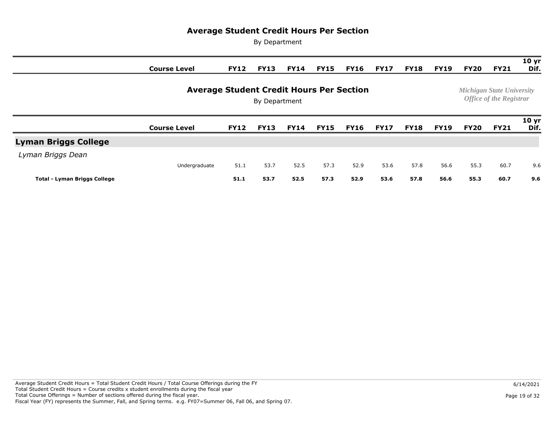|                                     | <b>Course Level</b> | <b>FY12</b> | <b>FY13</b>                                                        | <b>FY14</b> | <b>FY15</b> | <b>FY16</b> | <b>FY17</b> | <b>FY18</b> | <b>FY19</b> | <b>FY20</b> | <b>FY21</b> | 10 <sub>yr</sub><br>Dif. |
|-------------------------------------|---------------------|-------------|--------------------------------------------------------------------|-------------|-------------|-------------|-------------|-------------|-------------|-------------|-------------|--------------------------|
|                                     |                     |             | <b>Michigan State University</b><br><b>Office of the Registrar</b> |             |             |             |             |             |             |             |             |                          |
|                                     | <b>Course Level</b> | <b>FY12</b> | <b>FY13</b>                                                        | <b>FY14</b> | <b>FY15</b> | <b>FY16</b> | <b>FY17</b> | <b>FY18</b> | <b>FY19</b> | FY20        | <b>FY21</b> | 10 <sub>yr</sub><br>Dif. |
| <b>Lyman Briggs College</b>         |                     |             |                                                                    |             |             |             |             |             |             |             |             |                          |
| Lyman Briggs Dean                   |                     |             |                                                                    |             |             |             |             |             |             |             |             |                          |
|                                     | Undergraduate       | 51.1        | 53.7                                                               | 52.5        | 57.3        | 52.9        | 53.6        | 57.8        | 56.6        | 55.3        | 60.7        | 9.6                      |
| <b>Total - Lyman Briggs College</b> |                     | 51.1        | 53.7                                                               | 52.5        | 57.3        | 52.9        | 53.6        | 57.8        | 56.6        | 55.3        | 60.7        | 9.6                      |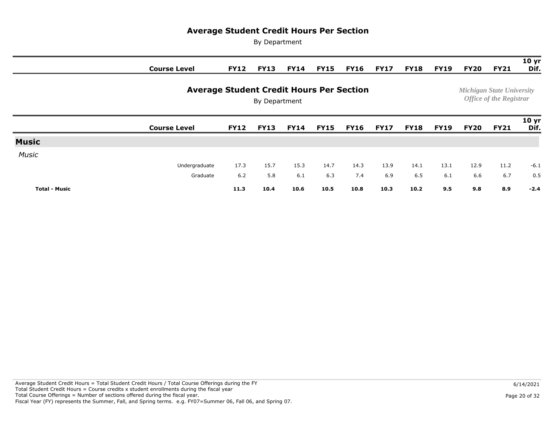|                      | <b>Course Level</b>                                              | <b>FY12</b> | <b>FY13</b> | <b>FY14</b> | <b>FY15</b> | <b>FY16</b> | <b>FY17</b> | <b>FY18</b> | <b>FY19</b> | <b>FY20</b> | <b>FY21</b> | 10 <sub>yr</sub><br>Dif. |
|----------------------|------------------------------------------------------------------|-------------|-------------|-------------|-------------|-------------|-------------|-------------|-------------|-------------|-------------|--------------------------|
|                      | <b>Average Student Credit Hours Per Section</b><br>By Department |             |             |             |             |             |             |             |             |             |             |                          |
|                      | <b>Course Level</b>                                              | <b>FY12</b> | <b>FY13</b> | <b>FY14</b> | <b>FY15</b> | <b>FY16</b> | <b>FY17</b> | <b>FY18</b> | <b>FY19</b> | <b>FY20</b> | <b>FY21</b> | 10 <sub>yr</sub><br>Dif. |
| <b>Music</b>         |                                                                  |             |             |             |             |             |             |             |             |             |             |                          |
| <b>Music</b>         |                                                                  |             |             |             |             |             |             |             |             |             |             |                          |
|                      | Undergraduate                                                    | 17.3        | 15.7        | 15.3        | 14.7        | 14.3        | 13.9        | 14.1        | 13.1        | 12.9        | 11.2        | $-6.1$                   |
|                      | Graduate                                                         | 6.2         | 5.8         | 6.1         | 6.3         | 7.4         | 6.9         | 6.5         | 6.1         | 6.6         | 6.7         | 0.5                      |
| <b>Total - Music</b> |                                                                  | 11.3        | 10.4        | 10.6        | 10.5        | 10.8        | 10.3        | 10.2        | 9.5         | 9.8         | 8.9         | $-2.4$                   |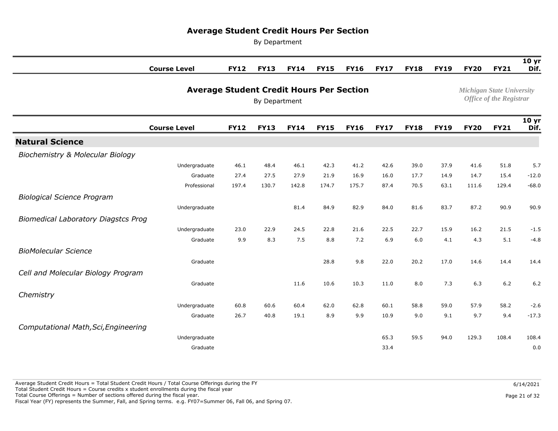By Department

|                                             | <b>Course Level</b>                             | <b>FY12</b> | <b>FY13</b> | <b>FY14</b>                      | <b>FY15</b>                    | <b>FY16</b> | <b>FY17</b> | <b>FY18</b> | <b>FY19</b> | <b>FY20</b> | <b>FY21</b> | 10 <sub>yr</sub><br>Dif. |
|---------------------------------------------|-------------------------------------------------|-------------|-------------|----------------------------------|--------------------------------|-------------|-------------|-------------|-------------|-------------|-------------|--------------------------|
|                                             | <b>Average Student Credit Hours Per Section</b> |             |             | <b>Michigan State University</b> | <b>Office of the Registrar</b> |             |             |             |             |             |             |                          |
|                                             | <b>Course Level</b>                             | <b>FY12</b> | <b>FY13</b> | <b>FY14</b>                      | <b>FY15</b>                    | <b>FY16</b> | <b>FY17</b> | <b>FY18</b> | <b>FY19</b> | <b>FY20</b> | <b>FY21</b> | 10 <sub>yr</sub><br>Dif. |
| <b>Natural Science</b>                      |                                                 |             |             |                                  |                                |             |             |             |             |             |             |                          |
| <b>Biochemistry &amp; Molecular Biology</b> |                                                 |             |             |                                  |                                |             |             |             |             |             |             |                          |
|                                             | Undergraduate                                   | 46.1        | 48.4        | 46.1                             | 42.3                           | 41.2        | 42.6        | 39.0        | 37.9        | 41.6        | 51.8        | 5.7                      |
|                                             | Graduate                                        | 27.4        | 27.5        | 27.9                             | 21.9                           | 16.9        | 16.0        | 17.7        | 14.9        | 14.7        | 15.4        | $-12.0$                  |
|                                             | Professional                                    | 197.4       | 130.7       | 142.8                            | 174.7                          | 175.7       | 87.4        | 70.5        | 63.1        | 111.6       | 129.4       | $-68.0$                  |
| <b>Biological Science Program</b>           |                                                 |             |             |                                  |                                |             |             |             |             |             |             |                          |
|                                             | Undergraduate                                   |             |             | 81.4                             | 84.9                           | 82.9        | 84.0        | 81.6        | 83.7        | 87.2        | 90.9        | 90.9                     |
| <b>Biomedical Laboratory Diagstcs Prog</b>  |                                                 |             |             |                                  |                                |             |             |             |             |             |             |                          |
|                                             | Undergraduate                                   | 23.0        | 22.9        | 24.5                             | 22.8                           | 21.6        | 22.5        | 22.7        | 15.9        | 16.2        | 21.5        | $-1.5$                   |
|                                             | Graduate                                        | 9.9         | 8.3         | 7.5                              | 8.8                            | 7.2         | 6.9         | 6.0         | 4.1         | 4.3         | 5.1         | $-4.8$                   |
| <b>BioMolecular Science</b>                 |                                                 |             |             |                                  |                                |             |             |             |             |             |             |                          |
|                                             | Graduate                                        |             |             |                                  | 28.8                           | 9.8         | 22.0        | 20.2        | 17.0        | 14.6        | 14.4        | 14.4                     |
| Cell and Molecular Biology Program          |                                                 |             |             |                                  |                                |             |             |             |             |             |             |                          |
|                                             | Graduate                                        |             |             | 11.6                             | 10.6                           | 10.3        | 11.0        | 8.0         | 7.3         | 6.3         | $6.2$       | 6.2                      |
| Chemistry                                   |                                                 |             |             |                                  |                                |             |             |             |             |             |             |                          |
|                                             | Undergraduate                                   | 60.8        | 60.6        | 60.4                             | 62.0                           | 62.8        | 60.1        | 58.8        | 59.0        | 57.9        | 58.2        | $-2.6$                   |
|                                             | Graduate                                        | 26.7        | 40.8        | 19.1                             | 8.9                            | 9.9         | 10.9        | 9.0         | 9.1         | 9.7         | 9.4         | $-17.3$                  |
| Computational Math, Sci, Engineering        |                                                 |             |             |                                  |                                |             |             |             |             |             |             |                          |
|                                             | Undergraduate                                   |             |             |                                  |                                |             | 65.3        | 59.5        | 94.0        | 129.3       | 108.4       | 108.4                    |
|                                             | Graduate                                        |             |             |                                  |                                |             | 33.4        |             |             |             |             | 0.0                      |

 Average Student Credit Hours = Total Student Credit Hours / Total Course Offerings during the FY Total Student Credit Hours = Course credits x student enrollments during the fiscal year Total Course Offerings = Number of sections offered during the fiscal year. Fiscal Year (FY) represents the Summer, Fall, and Spring terms. e.g. FY07=Summer 06, Fall 06, and Spring 07.

Page 21 of 32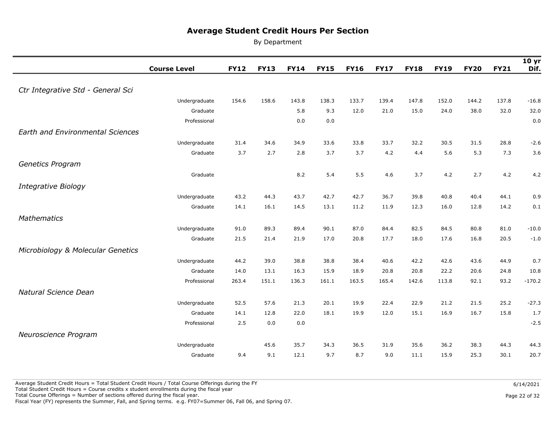By Department

|                                         | <b>Course Level</b> | <b>FY12</b> | <b>FY13</b> | <b>FY14</b> | <b>FY15</b> | <b>FY16</b> | <b>FY17</b> | <b>FY18</b>  | <b>FY19</b>  | <b>FY20</b> | <b>FY21</b> | 10 <sub>yr</sub><br>Dif. |
|-----------------------------------------|---------------------|-------------|-------------|-------------|-------------|-------------|-------------|--------------|--------------|-------------|-------------|--------------------------|
|                                         |                     |             |             |             |             |             |             |              |              |             |             |                          |
| Ctr Integrative Std - General Sci       |                     |             |             |             |             |             |             |              |              |             |             |                          |
|                                         | Undergraduate       | 154.6       | 158.6       | 143.8       | 138.3       | 133.7       | 139.4       | 147.8        | 152.0        | 144.2       | 137.8       | $-16.8$                  |
|                                         | Graduate            |             |             | 5.8         | 9.3         | 12.0        | 21.0        | 15.0         | 24.0         | 38.0        | 32.0        | 32.0                     |
|                                         | Professional        |             |             | 0.0         | 0.0         |             |             |              |              |             |             | 0.0                      |
| <b>Earth and Environmental Sciences</b> |                     |             |             |             |             |             |             |              |              |             |             |                          |
|                                         | Undergraduate       | 31.4        | 34.6        | 34.9        | 33.6        | 33.8        | 33.7        | 32.2         | 30.5         | 31.5        | 28.8        | $-2.6$                   |
|                                         | Graduate            | 3.7         | 2.7         | 2.8         | 3.7         | 3.7         | 4.2         | 4.4          | 5.6          | 5.3         | 7.3         | 3.6                      |
| Genetics Program                        |                     |             |             |             |             |             |             |              |              |             |             |                          |
|                                         | Graduate            |             |             | 8.2         | 5.4         | 5.5         | 4.6         | 3.7          | 4.2          | 2.7         | 4.2         | 4.2                      |
|                                         |                     |             |             |             |             |             |             |              |              |             |             |                          |
| <b>Integrative Biology</b>              |                     |             |             |             |             |             |             |              |              | 40.4        |             |                          |
|                                         | Undergraduate       | 43.2        | 44.3        | 43.7        | 42.7        | 42.7        | 36.7        | 39.8<br>12.3 | 40.8<br>16.0 |             | 44.1        | 0.9                      |
|                                         | Graduate            | 14.1        | 16.1        | 14.5        | 13.1        | 11.2        | 11.9        |              |              | 12.8        | 14.2        | 0.1                      |
| <b>Mathematics</b>                      |                     |             |             |             |             |             |             |              |              |             |             |                          |
|                                         | Undergraduate       | 91.0        | 89.3        | 89.4        | 90.1        | 87.0        | 84.4        | 82.5         | 84.5         | 80.8        | 81.0        | $-10.0$                  |
|                                         | Graduate            | 21.5        | 21.4        | 21.9        | 17.0        | 20.8        | 17.7        | 18.0         | 17.6         | 16.8        | 20.5        | $-1.0$                   |
| Microbiology & Molecular Genetics       |                     |             |             |             |             |             |             |              |              |             |             |                          |
|                                         | Undergraduate       | 44.2        | 39.0        | 38.8        | 38.8        | 38.4        | 40.6        | 42.2         | 42.6         | 43.6        | 44.9        | 0.7                      |
|                                         | Graduate            | 14.0        | 13.1        | 16.3        | 15.9        | 18.9        | 20.8        | 20.8         | 22.2         | 20.6        | 24.8        | 10.8                     |
|                                         | Professional        | 263.4       | 151.1       | 136.3       | 161.1       | 163.5       | 165.4       | 142.6        | 113.8        | 92.1        | 93.2        | $-170.2$                 |
| Natural Science Dean                    |                     |             |             |             |             |             |             |              |              |             |             |                          |
|                                         | Undergraduate       | 52.5        | 57.6        | 21.3        | 20.1        | 19.9        | 22.4        | 22.9         | 21.2         | 21.5        | 25.2        | $-27.3$                  |
|                                         | Graduate            | 14.1        | 12.8        | 22.0        | 18.1        | 19.9        | 12.0        | 15.1         | 16.9         | 16.7        | 15.8        | 1.7                      |
|                                         | Professional        | 2.5         | 0.0         | 0.0         |             |             |             |              |              |             |             | $-2.5$                   |
| Neuroscience Program                    |                     |             |             |             |             |             |             |              |              |             |             |                          |
|                                         | Undergraduate       |             | 45.6        | 35.7        | 34.3        | 36.5        | 31.9        | 35.6         | 36.2         | 38.3        | 44.3        | 44.3                     |
|                                         | Graduate            | 9.4         | 9.1         | 12.1        | 9.7         | 8.7         | 9.0         | 11.1         | 15.9         | 25.3        | 30.1        | 20.7                     |

Total Course Offerings = Number of sections offered during the fiscal year.

Fiscal Year (FY) represents the Summer, Fall, and Spring terms. e.g. FY07=Summer 06, Fall 06, and Spring 07.

Page 22 of 32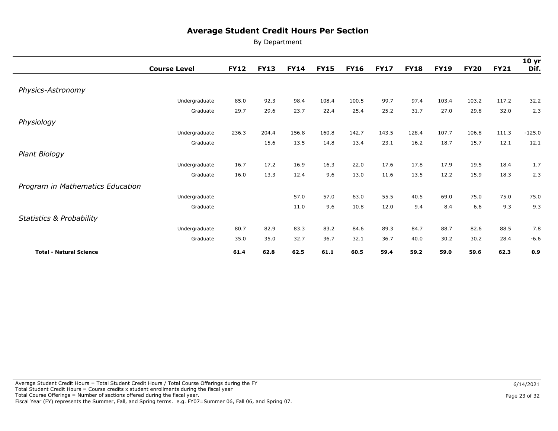|                                     | <b>Course Level</b> | <b>FY12</b> | <b>FY13</b> | <b>FY14</b> | <b>FY15</b> | <b>FY16</b> | <b>FY17</b> | <b>FY18</b> | <b>FY19</b> | <b>FY20</b> | <b>FY21</b> | 10 <sub>yr</sub><br>Dif. |
|-------------------------------------|---------------------|-------------|-------------|-------------|-------------|-------------|-------------|-------------|-------------|-------------|-------------|--------------------------|
|                                     |                     |             |             |             |             |             |             |             |             |             |             |                          |
| Physics-Astronomy                   |                     |             |             |             |             |             |             |             |             |             |             |                          |
|                                     | Undergraduate       | 85.0        | 92.3        | 98.4        | 108.4       | 100.5       | 99.7        | 97.4        | 103.4       | 103.2       | 117.2       | 32.2                     |
|                                     | Graduate            | 29.7        | 29.6        | 23.7        | 22.4        | 25.4        | 25.2        | 31.7        | 27.0        | 29.8        | 32.0        | 2.3                      |
| Physiology                          |                     |             |             |             |             |             |             |             |             |             |             |                          |
|                                     | Undergraduate       | 236.3       | 204.4       | 156.8       | 160.8       | 142.7       | 143.5       | 128.4       | 107.7       | 106.8       | 111.3       | $-125.0$                 |
|                                     | Graduate            |             | 15.6        | 13.5        | 14.8        | 13.4        | 23.1        | 16.2        | 18.7        | 15.7        | 12.1        | 12.1                     |
| Plant Biology                       |                     |             |             |             |             |             |             |             |             |             |             |                          |
|                                     | Undergraduate       | 16.7        | 17.2        | 16.9        | 16.3        | 22.0        | 17.6        | 17.8        | 17.9        | 19.5        | 18.4        | 1.7                      |
|                                     | Graduate            | 16.0        | 13.3        | 12.4        | 9.6         | 13.0        | 11.6        | 13.5        | 12.2        | 15.9        | 18.3        | 2.3                      |
| Program in Mathematics Education    |                     |             |             |             |             |             |             |             |             |             |             |                          |
|                                     | Undergraduate       |             |             | 57.0        | 57.0        | 63.0        | 55.5        | 40.5        | 69.0        | 75.0        | 75.0        | 75.0                     |
|                                     | Graduate            |             |             | 11.0        | 9.6         | 10.8        | 12.0        | 9.4         | 8.4         | 6.6         | 9.3         | 9.3                      |
| <b>Statistics &amp; Probability</b> |                     |             |             |             |             |             |             |             |             |             |             |                          |
|                                     | Undergraduate       | 80.7        | 82.9        | 83.3        | 83.2        | 84.6        | 89.3        | 84.7        | 88.7        | 82.6        | 88.5        | 7.8                      |
|                                     | Graduate            | 35.0        | 35.0        | 32.7        | 36.7        | 32.1        | 36.7        | 40.0        | 30.2        | 30.2        | 28.4        | $-6.6$                   |
| <b>Total - Natural Science</b>      |                     | 61.4        | 62.8        | 62.5        | 61.1        | 60.5        | 59.4        | 59.2        | 59.0        | 59.6        | 62.3        | 0.9                      |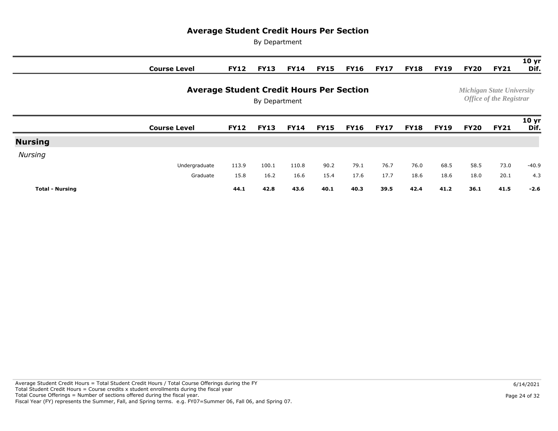|                        | <b>Course Level</b>                             | <b>FY12</b> | <b>FY13</b>   | <b>FY14</b> | <b>FY15</b> | <b>FY16</b> | <b>FY17</b> | <b>FY18</b> | <b>FY19</b> | <b>FY20</b> | <b>FY21</b>                                                        | 10 <sub>yr</sub><br>Dif. |
|------------------------|-------------------------------------------------|-------------|---------------|-------------|-------------|-------------|-------------|-------------|-------------|-------------|--------------------------------------------------------------------|--------------------------|
|                        | <b>Average Student Credit Hours Per Section</b> |             | By Department |             |             |             |             |             |             |             | <b>Michigan State University</b><br><b>Office of the Registrar</b> |                          |
|                        | <b>Course Level</b>                             | <b>FY12</b> | <b>FY13</b>   | <b>FY14</b> | <b>FY15</b> | <b>FY16</b> | <b>FY17</b> | <b>FY18</b> | <b>FY19</b> | <b>FY20</b> | <b>FY21</b>                                                        | 10 <sub>yr</sub><br>Dif. |
| <b>Nursing</b>         |                                                 |             |               |             |             |             |             |             |             |             |                                                                    |                          |
| Nursing                |                                                 |             |               |             |             |             |             |             |             |             |                                                                    |                          |
|                        | Undergraduate                                   | 113.9       | 100.1         | 110.8       | 90.2        | 79.1        | 76.7        | 76.0        | 68.5        | 58.5        | 73.0                                                               | $-40.9$                  |
|                        | Graduate                                        | 15.8        | 16.2          | 16.6        | 15.4        | 17.6        | 17.7        | 18.6        | 18.6        | 18.0        | 20.1                                                               | 4.3                      |
| <b>Total - Nursing</b> |                                                 | 44.1        | 42.8          | 43.6        | 40.1        | 40.3        | 39.5        | 42.4        | 41.2        | 36.1        | 41.5                                                               | $-2.6$                   |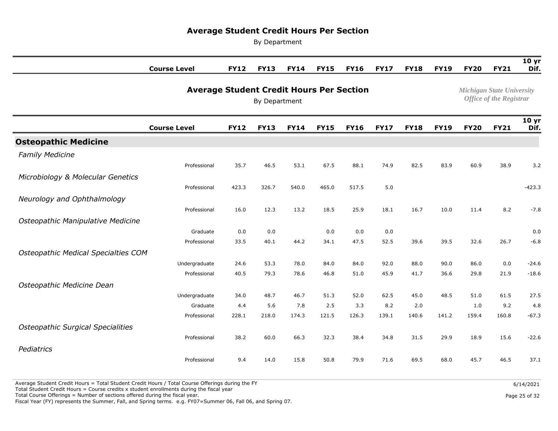By Department

|                                          | <b>Course Level</b> | <b>FY12</b>                                                      | <b>FY13</b> | <b>FY14</b> | <b>FY15</b> | <b>FY16</b> | <b>FY17</b> | <b>FY18</b> | <b>FY19</b> | <b>FY20</b> | <b>FY21</b> | 10 <sub>yr</sub><br>Dif. |  |  |
|------------------------------------------|---------------------|------------------------------------------------------------------|-------------|-------------|-------------|-------------|-------------|-------------|-------------|-------------|-------------|--------------------------|--|--|
|                                          |                     | <b>Average Student Credit Hours Per Section</b><br>By Department |             |             |             |             |             |             |             |             |             |                          |  |  |
|                                          | <b>Course Level</b> | <b>FY12</b>                                                      | <b>FY13</b> | <b>FY14</b> | <b>FY15</b> | <b>FY16</b> | <b>FY17</b> | <b>FY18</b> | <b>FY19</b> | <b>FY20</b> | <b>FY21</b> | 10 <sub>yr</sub><br>Dif. |  |  |
| <b>Osteopathic Medicine</b>              |                     |                                                                  |             |             |             |             |             |             |             |             |             |                          |  |  |
| <b>Family Medicine</b>                   |                     |                                                                  |             |             |             |             |             |             |             |             |             |                          |  |  |
|                                          | Professional        | 35.7                                                             | 46.5        | 53.1        | 67.5        | 88.1        | 74.9        | 82.5        | 83.9        | 60.9        | 38.9        | 3.2                      |  |  |
| Microbiology & Molecular Genetics        |                     |                                                                  |             |             |             |             |             |             |             |             |             |                          |  |  |
|                                          | Professional        | 423.3                                                            | 326.7       | 540.0       | 465.0       | 517.5       | 5.0         |             |             |             |             | $-423.3$                 |  |  |
| Neurology and Ophthalmology              |                     |                                                                  |             |             |             |             |             |             |             |             |             |                          |  |  |
|                                          | Professional        | 16.0                                                             | 12.3        | 13.2        | 18.5        | 25.9        | 18.1        | 16.7        | 10.0        | 11.4        | 8.2         | $-7.8$                   |  |  |
| Osteopathic Manipulative Medicine        |                     |                                                                  |             |             |             |             |             |             |             |             |             |                          |  |  |
|                                          | Graduate            | 0.0                                                              | 0.0         |             | 0.0         | 0.0         | 0.0         |             |             |             |             | 0.0                      |  |  |
|                                          | Professional        | 33.5                                                             | 40.1        | 44.2        | 34.1        | 47.5        | 52.5        | 39.6        | 39.5        | 32.6        | 26.7        | $-6.8$                   |  |  |
| Osteopathic Medical Specialties COM      |                     |                                                                  |             |             |             |             |             |             |             |             |             |                          |  |  |
|                                          | Undergraduate       | 24.6                                                             | 53.3        | 78.0        | 84.0        | 84.0        | 92.0        | 88.0        | 90.0        | 86.0        | 0.0         | $-24.6$                  |  |  |
|                                          | Professional        | 40.5                                                             | 79.3        | 78.6        | 46.8        | 51.0        | 45.9        | 41.7        | 36.6        | 29.8        | 21.9        | $-18.6$                  |  |  |
| Osteopathic Medicine Dean                |                     |                                                                  |             |             |             |             |             |             |             |             |             |                          |  |  |
|                                          | Undergraduate       | 34.0                                                             | 48.7        | 46.7        | 51.3        | 52.0        | 62.5        | 45.0        | 48.5        | 51.0        | 61.5        | 27.5                     |  |  |
|                                          | Graduate            | 4.4                                                              | 5.6         | 7.8         | 2.5         | 3.3         | 8.2         | 2.0         |             | 1.0         | 9.2         | 4.8                      |  |  |
|                                          | Professional        | 228.1                                                            | 218.0       | 174.3       | 121.5       | 126.3       | 139.1       | 140.6       | 141.2       | 159.4       | 160.8       | $-67.3$                  |  |  |
| <b>Osteopathic Surgical Specialities</b> |                     |                                                                  |             |             |             |             |             |             |             |             |             |                          |  |  |
|                                          | Professional        | 38.2                                                             | 60.0        | 66.3        | 32.3        | 38.4        | 34.8        | 31.5        | 29.9        | 18.9        | 15.6        | $-22.6$                  |  |  |
| Pediatrics                               |                     |                                                                  |             |             |             |             |             |             |             |             |             |                          |  |  |
|                                          | Professional        | 9.4                                                              | 14.0        | 15.8        | 50.8        | 79.9        | 71.6        | 69.5        | 68.0        | 45.7        | 46.5        | 37.1                     |  |  |

Average Student Credit Hours = Total Student Credit Hours / Total Course Offerings during the FY

Total Student Credit Hours = Course credits x student enrollments during the fiscal year

Total Course Offerings = Number of sections offered during the fiscal year.

Fiscal Year (FY) represents the Summer, Fall, and Spring terms. e.g. FY07=Summer 06, Fall 06, and Spring 07.

Page 25 of 32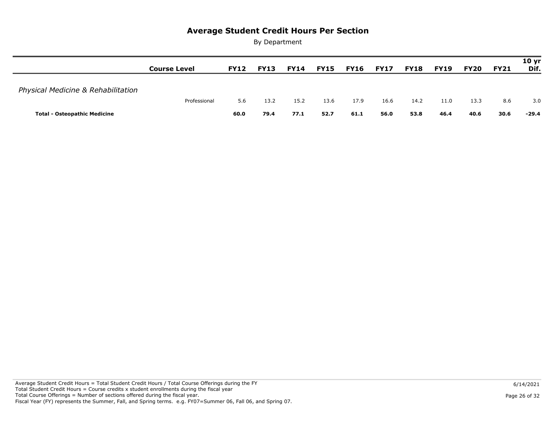|                                     | <b>Course Level</b> | <b>FY12</b> | <b>FY13</b> | <b>FY14</b> | <b>FY15</b> | <b>FY16</b> | <b>FY17</b> | <b>FY18</b> | <b>FY19</b> | <b>FY20</b> | <b>FY21</b> | 10 <sub>yr</sub><br>Dif. |
|-------------------------------------|---------------------|-------------|-------------|-------------|-------------|-------------|-------------|-------------|-------------|-------------|-------------|--------------------------|
| Physical Medicine & Rehabilitation  | Professional        | 5.6         | 13.2        | 15.2        | 13.6        | 17.9        | 16.6        | 14.2        | 11.0        | 13.3        | 8.6         | 3.0                      |
| <b>Total - Osteopathic Medicine</b> |                     | 60.0        | 79.4        | 77.1        | 52.7        | 61.1        | 56.0        | 53.8        | 46.4        | 40.6        | 30.6        | -29.4                    |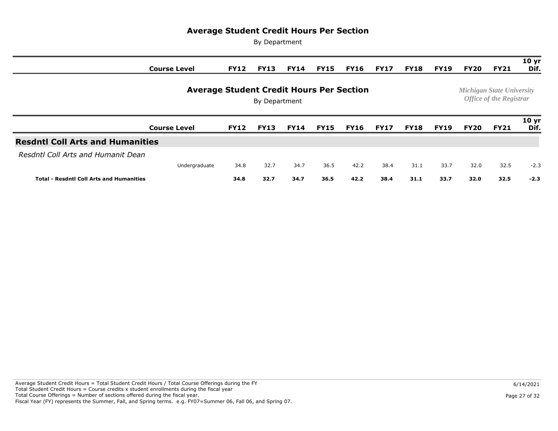|                                                                  | <b>Course Level</b> | <b>FY12</b> | <b>FY13</b> | <b>FY14</b> | <b>FY15</b> | <b>FY16</b> | <b>FY17</b> | <b>FY18</b> | <b>FY19</b> | <b>FY20</b> | <b>FY21</b>                                                        | 10 <sub>yr</sub><br>Dif. |
|------------------------------------------------------------------|---------------------|-------------|-------------|-------------|-------------|-------------|-------------|-------------|-------------|-------------|--------------------------------------------------------------------|--------------------------|
| <b>Average Student Credit Hours Per Section</b><br>By Department |                     |             |             |             |             |             |             |             |             |             | <b>Michigan State University</b><br><b>Office of the Registrar</b> |                          |
|                                                                  | <b>Course Level</b> | <b>FY12</b> | <b>FY13</b> | <b>FY14</b> | <b>FY15</b> | <b>FY16</b> | <b>FY17</b> | <b>FY18</b> | <b>FY19</b> | <b>FY20</b> | <b>FY21</b>                                                        | 10 <sub>yr</sub><br>Dif. |
| <b>Resdntl Coll Arts and Humanities</b>                          |                     |             |             |             |             |             |             |             |             |             |                                                                    |                          |
| Resdntl Coll Arts and Humanit Dean                               |                     |             |             |             |             |             |             |             |             |             |                                                                    |                          |
|                                                                  | Undergraduate       | 34.8        | 32.7        | 34.7        | 36.5        | 42.2        | 38.4        | 31.1        | 33.7        | 32.0        | 32.5                                                               | $-2.3$                   |
| <b>Total - Resdntl Coll Arts and Humanities</b>                  |                     | 34.8        | 32.7        | 34.7        | 36.5        | 42.2        | 38.4        | 31.1        | 33.7        | 32.0        | 32.5                                                               | $-2.3$                   |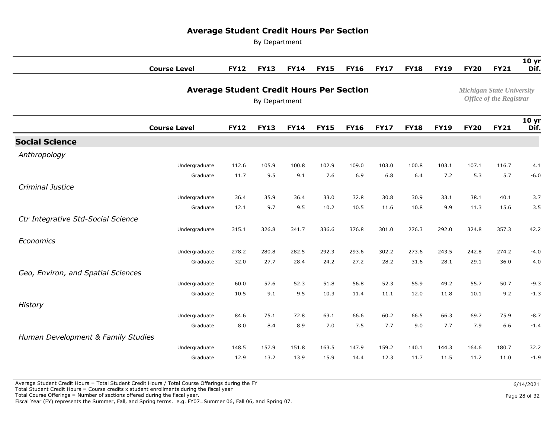By Department

|                                    | <b>Course Level</b>                             | <b>FY12</b>                                                        | <b>FY13</b> | <b>FY14</b> | <b>FY15</b> | <b>FY16</b> | <b>FY17</b> | <b>FY18</b> | <b>FY19</b> | <b>FY20</b> | <b>FY21</b> | 10 <sub>yr</sub><br>Dif. |
|------------------------------------|-------------------------------------------------|--------------------------------------------------------------------|-------------|-------------|-------------|-------------|-------------|-------------|-------------|-------------|-------------|--------------------------|
|                                    | <b>Average Student Credit Hours Per Section</b> | <b>Michigan State University</b><br><b>Office of the Registrar</b> |             |             |             |             |             |             |             |             |             |                          |
|                                    | <b>Course Level</b>                             | <b>FY12</b>                                                        | <b>FY13</b> | <b>FY14</b> | <b>FY15</b> | <b>FY16</b> | <b>FY17</b> | <b>FY18</b> | <b>FY19</b> | <b>FY20</b> | <b>FY21</b> | 10 <sub>yr</sub><br>Dif. |
| <b>Social Science</b>              |                                                 |                                                                    |             |             |             |             |             |             |             |             |             |                          |
| Anthropology                       |                                                 |                                                                    |             |             |             |             |             |             |             |             |             |                          |
|                                    | Undergraduate                                   | 112.6                                                              | 105.9       | 100.8       | 102.9       | 109.0       | 103.0       | 100.8       | 103.1       | 107.1       | 116.7       | 4.1                      |
|                                    | Graduate                                        | 11.7                                                               | 9.5         | 9.1         | 7.6         | 6.9         | 6.8         | 6.4         | 7.2         | 5.3         | 5.7         | $-6.0$                   |
| Criminal Justice                   |                                                 |                                                                    |             |             |             |             |             |             |             |             |             |                          |
|                                    | Undergraduate                                   | 36.4                                                               | 35.9        | 36.4        | 33.0        | 32.8        | 30.8        | 30.9        | 33.1        | 38.1        | 40.1        | 3.7                      |
|                                    | Graduate                                        | 12.1                                                               | 9.7         | 9.5         | 10.2        | 10.5        | 11.6        | 10.8        | 9.9         | 11.3        | 15.6        | 3.5                      |
| Ctr Integrative Std-Social Science |                                                 |                                                                    |             |             |             |             |             |             |             |             |             |                          |
|                                    | Undergraduate                                   | 315.1                                                              | 326.8       | 341.7       | 336.6       | 376.8       | 301.0       | 276.3       | 292.0       | 324.8       | 357.3       | 42.2                     |
| Economics                          |                                                 |                                                                    |             |             |             |             |             |             |             |             |             |                          |
|                                    | Undergraduate                                   | 278.2                                                              | 280.8       | 282.5       | 292.3       | 293.6       | 302.2       | 273.6       | 243.5       | 242.8       | 274.2       | $-4.0$                   |
|                                    | Graduate                                        | 32.0                                                               | 27.7        | 28.4        | 24.2        | 27.2        | 28.2        | 31.6        | 28.1        | 29.1        | 36.0        | 4.0                      |
| Geo, Environ, and Spatial Sciences |                                                 |                                                                    |             |             |             |             |             |             |             |             |             |                          |
|                                    | Undergraduate                                   | 60.0                                                               | 57.6        | 52.3        | 51.8        | 56.8        | 52.3        | 55.9        | 49.2        | 55.7        | 50.7        | $-9.3$                   |
|                                    | Graduate                                        | 10.5                                                               | 9.1         | 9.5         | 10.3        | 11.4        | 11.1        | 12.0        | 11.8        | 10.1        | 9.2         | $-1.3$                   |
| History                            |                                                 |                                                                    |             |             |             |             |             |             |             |             |             |                          |
|                                    | Undergraduate                                   | 84.6                                                               | 75.1        | 72.8        | 63.1        | 66.6        | 60.2        | 66.5        | 66.3        | 69.7        | 75.9        | $-8.7$                   |
|                                    | Graduate                                        | 8.0                                                                | 8.4         | 8.9         | 7.0         | 7.5         | 7.7         | 9.0         | 7.7         | 7.9         | 6.6         | $-1.4$                   |
| Human Development & Family Studies |                                                 |                                                                    |             |             |             |             |             |             |             |             |             |                          |
|                                    | Undergraduate                                   | 148.5                                                              | 157.9       | 151.8       | 163.5       | 147.9       | 159.2       | 140.1       | 144.3       | 164.6       | 180.7       | 32.2                     |
|                                    | Graduate                                        | 12.9                                                               | 13.2        | 13.9        | 15.9        | 14.4        | 12.3        | 11.7        | 11.5        | 11.2        | 11.0        | $-1.9$                   |

Total Student Credit Hours = Course credits x student enrollments during the fiscal year

Total Course Offerings = Number of sections offered during the fiscal year.

Fiscal Year (FY) represents the Summer, Fall, and Spring terms. e.g. FY07=Summer 06, Fall 06, and Spring 07.

Page 28 of 32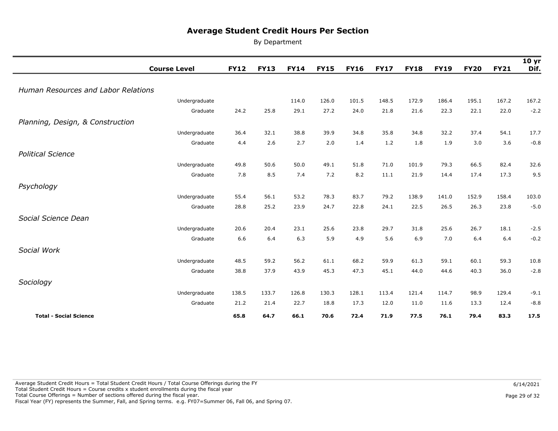By Department

|                                            | <b>Course Level</b> | <b>FY12</b> | <b>FY13</b> | <b>FY14</b> | <b>FY15</b> | <b>FY16</b> | <b>FY17</b> | <b>FY18</b> | <b>FY19</b> | <b>FY20</b> | <b>FY21</b> | 10 <sub>yr</sub><br>Dif. |
|--------------------------------------------|---------------------|-------------|-------------|-------------|-------------|-------------|-------------|-------------|-------------|-------------|-------------|--------------------------|
|                                            |                     |             |             |             |             |             |             |             |             |             |             |                          |
| <b>Human Resources and Labor Relations</b> |                     |             |             |             |             |             |             |             |             |             |             |                          |
|                                            | Undergraduate       |             |             | 114.0       | 126.0       | 101.5       | 148.5       | 172.9       | 186.4       | 195.1       | 167.2       | 167.2                    |
|                                            | Graduate            | 24.2        | 25.8        | 29.1        | 27.2        | 24.0        | 21.8        | 21.6        | 22.3        | 22.1        | 22.0        | $-2.2$                   |
| Planning, Design, & Construction           |                     |             |             |             |             |             |             |             |             |             |             |                          |
|                                            | Undergraduate       | 36.4        | 32.1        | 38.8        | 39.9        | 34.8        | 35.8        | 34.8        | 32.2        | 37.4        | 54.1        | 17.7                     |
|                                            | Graduate            | 4.4         | 2.6         | 2.7         | 2.0         | 1.4         | 1.2         | 1.8         | 1.9         | 3.0         | 3.6         | $-0.8$                   |
| <b>Political Science</b>                   |                     |             |             |             |             |             |             |             |             |             |             |                          |
|                                            | Undergraduate       | 49.8        | 50.6        | 50.0        | 49.1        | 51.8        | 71.0        | 101.9       | 79.3        | 66.5        | 82.4        | 32.6                     |
|                                            | Graduate            | 7.8         | 8.5         | 7.4         | 7.2         | 8.2         | 11.1        | 21.9        | 14.4        | 17.4        | 17.3        | 9.5                      |
| Psychology                                 |                     |             |             |             |             |             |             |             |             |             |             |                          |
|                                            | Undergraduate       | 55.4        | 56.1        | 53.2        | 78.3        | 83.7        | 79.2        | 138.9       | 141.0       | 152.9       | 158.4       | 103.0                    |
|                                            | Graduate            | 28.8        | 25.2        | 23.9        | 24.7        | 22.8        | 24.1        | 22.5        | 26.5        | 26.3        | 23.8        | $-5.0$                   |
| Social Science Dean                        |                     |             |             |             |             |             |             |             |             |             |             |                          |
|                                            | Undergraduate       | 20.6        | 20.4        | 23.1        | 25.6        | 23.8        | 29.7        | 31.8        | 25.6        | 26.7        | 18.1        | $-2.5$                   |
|                                            | Graduate            | 6.6         | 6.4         | 6.3         | 5.9         | 4.9         | 5.6         | 6.9         | 7.0         | 6.4         | 6.4         | $-0.2$                   |
| Social Work                                |                     |             |             |             |             |             |             |             |             |             |             |                          |
|                                            | Undergraduate       | 48.5        | 59.2        | 56.2        | 61.1        | 68.2        | 59.9        | 61.3        | 59.1        | 60.1        | 59.3        | 10.8                     |
|                                            | Graduate            | 38.8        | 37.9        | 43.9        | 45.3        | 47.3        | 45.1        | 44.0        | 44.6        | 40.3        | 36.0        | $-2.8$                   |
| Sociology                                  |                     |             |             |             |             |             |             |             |             |             |             |                          |
|                                            | Undergraduate       | 138.5       | 133.7       | 126.8       | 130.3       | 128.1       | 113.4       | 121.4       | 114.7       | 98.9        | 129.4       | $-9.1$                   |
|                                            | Graduate            | 21.2        | 21.4        | 22.7        | 18.8        | 17.3        | 12.0        | 11.0        | 11.6        | 13.3        | 12.4        | $-8.8$                   |
| <b>Total - Social Science</b>              |                     | 65.8        | 64.7        | 66.1        | 70.6        | 72.4        | 71.9        | 77.5        | 76.1        | 79.4        | 83.3        | 17.5                     |

Page 29 of 32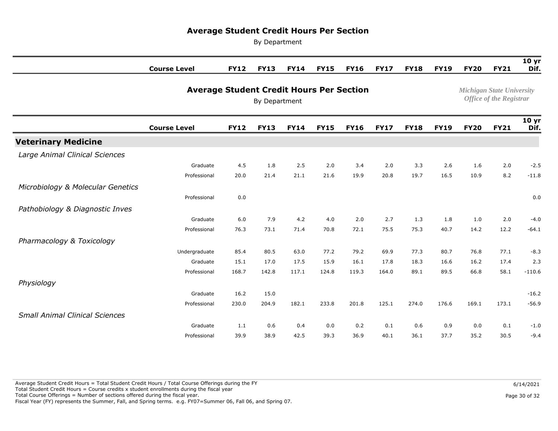By Department

|                                       | <b>Course Level</b>                             | <b>FY12</b> | <b>FY13</b>   | <b>FY14</b> | <b>FY15</b> | <b>FY16</b> | <b>FY17</b> | <b>FY18</b> | <b>FY19</b>                    | <b>FY20</b> | <b>FY21</b>                      | 10 <sub>yr</sub><br>Dif. |  |
|---------------------------------------|-------------------------------------------------|-------------|---------------|-------------|-------------|-------------|-------------|-------------|--------------------------------|-------------|----------------------------------|--------------------------|--|
|                                       | <b>Average Student Credit Hours Per Section</b> |             |               |             |             |             |             |             |                                |             | <b>Michigan State University</b> |                          |  |
|                                       |                                                 |             | By Department |             |             |             |             |             | <b>Office of the Registrar</b> |             |                                  |                          |  |
|                                       | <b>Course Level</b>                             | <b>FY12</b> | <b>FY13</b>   | <b>FY14</b> | <b>FY15</b> | <b>FY16</b> | <b>FY17</b> | <b>FY18</b> | <b>FY19</b>                    | <b>FY20</b> | <b>FY21</b>                      | 10 <sub>yr</sub><br>Dif. |  |
| <b>Veterinary Medicine</b>            |                                                 |             |               |             |             |             |             |             |                                |             |                                  |                          |  |
| Large Animal Clinical Sciences        |                                                 |             |               |             |             |             |             |             |                                |             |                                  |                          |  |
|                                       | Graduate                                        | 4.5         | 1.8           | 2.5         | 2.0         | 3.4         | 2.0         | 3.3         | 2.6                            | 1.6         | 2.0                              | $-2.5$                   |  |
|                                       | Professional                                    | 20.0        | 21.4          | 21.1        | 21.6        | 19.9        | 20.8        | 19.7        | 16.5                           | 10.9        | 8.2                              | $-11.8$                  |  |
| Microbiology & Molecular Genetics     |                                                 |             |               |             |             |             |             |             |                                |             |                                  |                          |  |
|                                       | Professional                                    | 0.0         |               |             |             |             |             |             |                                |             |                                  | 0.0                      |  |
| Pathobiology & Diagnostic Inves       |                                                 |             |               |             |             |             |             |             |                                |             |                                  |                          |  |
|                                       | Graduate                                        | 6.0         | 7.9           | 4.2         | 4.0         | 2.0         | 2.7         | 1.3         | 1.8                            | 1.0         | 2.0                              | $-4.0$                   |  |
|                                       | Professional                                    | 76.3        | 73.1          | 71.4        | 70.8        | 72.1        | 75.5        | 75.3        | 40.7                           | 14.2        | 12.2                             | $-64.1$                  |  |
| Pharmacology & Toxicology             |                                                 |             |               |             |             |             |             |             |                                |             |                                  |                          |  |
|                                       | Undergraduate                                   | 85.4        | 80.5          | 63.0        | 77.2        | 79.2        | 69.9        | 77.3        | 80.7                           | 76.8        | 77.1                             | $-8.3$                   |  |
|                                       | Graduate                                        | 15.1        | 17.0          | 17.5        | 15.9        | 16.1        | 17.8        | 18.3        | 16.6                           | 16.2        | 17.4                             | 2.3                      |  |
|                                       | Professional                                    | 168.7       | 142.8         | 117.1       | 124.8       | 119.3       | 164.0       | 89.1        | 89.5                           | 66.8        | 58.1                             | $-110.6$                 |  |
| Physiology                            |                                                 |             |               |             |             |             |             |             |                                |             |                                  |                          |  |
|                                       | Graduate                                        | 16.2        | 15.0          |             |             |             |             |             |                                |             |                                  | $-16.2$                  |  |
|                                       | Professional                                    | 230.0       | 204.9         | 182.1       | 233.8       | 201.8       | 125.1       | 274.0       | 176.6                          | 169.1       | 173.1                            | $-56.9$                  |  |
| <b>Small Animal Clinical Sciences</b> |                                                 |             |               |             |             |             |             |             |                                |             |                                  |                          |  |
|                                       | Graduate                                        | 1.1         | 0.6           | 0.4         | 0.0         | 0.2         | 0.1         | 0.6         | 0.9                            | 0.0         | 0.1                              | $-1.0$                   |  |
|                                       | Professional                                    | 39.9        | 38.9          | 42.5        | 39.3        | 36.9        | 40.1        | 36.1        | 37.7                           | 35.2        | 30.5                             | $-9.4$                   |  |

 Average Student Credit Hours = Total Student Credit Hours / Total Course Offerings during the FY Total Student Credit Hours = Course credits x student enrollments during the fiscal year Total Course Offerings = Number of sections offered during the fiscal year. Fiscal Year (FY) represents the Summer, Fall, and Spring terms. e.g. FY07=Summer 06, Fall 06, and Spring 07.

Page 30 of 32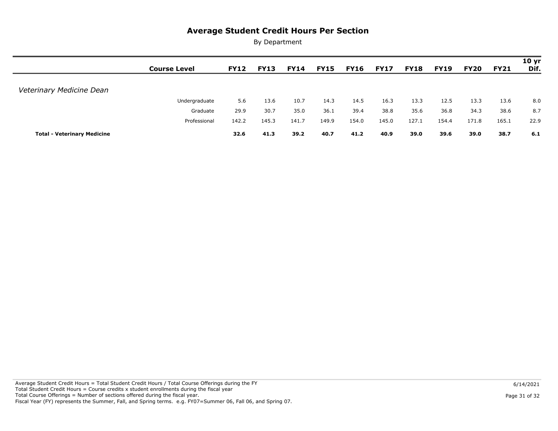|                                    | <b>Course Level</b> | <b>FY12</b> | <b>FY13</b> | <b>FY14</b> | <b>FY15</b> | <b>FY16</b> | <b>FY17</b> | <b>FY18</b> | <b>FY19</b> | <b>FY20</b> | <b>FY21</b> | 10 <sub>yr</sub><br>Dif. |
|------------------------------------|---------------------|-------------|-------------|-------------|-------------|-------------|-------------|-------------|-------------|-------------|-------------|--------------------------|
|                                    |                     |             |             |             |             |             |             |             |             |             |             |                          |
| Veterinary Medicine Dean           |                     |             |             |             |             |             |             |             |             |             |             |                          |
|                                    | Undergraduate       | 5.6         | 13.6        | 10.7        | 14.3        | 14.5        | 16.3        | 13.3        | 12.5        | 13.3        | 13.6        | 8.0                      |
|                                    | Graduate            | 29.9        | 30.7        | 35.0        | 36.1        | 39.4        | 38.8        | 35.6        | 36.8        | 34.3        | 38.6        | 8.7                      |
|                                    | Professional        | 142.2       | 145.3       | 141.7       | 149.9       | 154.0       | 145.0       | 127.1       | 154.4       | 171.8       | 165.1       | 22.9                     |
| <b>Total - Veterinary Medicine</b> |                     | 32.6        | 41.3        | 39.2        | 40.7        | 41.2        | 40.9        | 39.0        | 39.6        | 39.0        | 38.7        | 6.1                      |